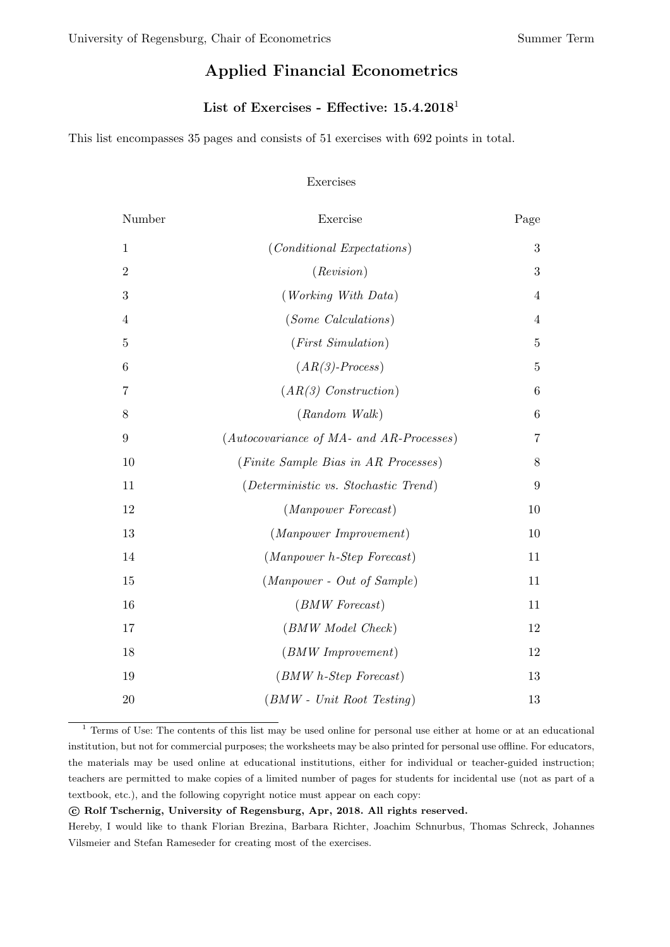# Applied Financial Econometrics

# List of Exercises - Effective: 15.4.2018[1](#page-0-0)

This list encompasses 35 pages and consists of 51 exercises with 692 points in total.

#### Exercises

| Number           | Exercise                                 | Page           |
|------------------|------------------------------------------|----------------|
| $\mathbf{1}$     | $(Conditional\:)$                        | 3              |
| $\overline{2}$   | (Revision)                               | 3              |
| 3                | (Working With Data)                      | 4              |
| 4                | <i>(Some Calculations)</i>               | 4              |
| $\overline{5}$   | $(First\ Simulation)$                    | $\overline{5}$ |
| 6                | $(AR(3)-Process)$                        | $\overline{5}$ |
| 7                | $(AR(3)$ Construction)                   | 6              |
| 8                | $(Random \ Walk)$                        | 6              |
| $\boldsymbol{9}$ | (Autocovariance of MA- and AR-Processes) | 7              |
| 10               | (Finite Sample Bias in AR Processes)     | 8              |
| 11               | (Deterministic vs. Stochastic Trend)     | 9              |
| 12               | (Manpower Forecast)                      | 10             |
| 13               | (Manpower Improvement)                   | 10             |
| 14               | $(Manpower\ h\text{-}Step\ Forest)$      | 11             |
| 15               | $(Manpower - Out of Sample)$             | 11             |
| 16               | $(BMW\, Forecast)$                       | 11             |
| 17               | (BMW Model Check)                        | 12             |
| 18               | $(BMW\,Improvement)$                     | 12             |
| 19               | $(BMW h-Step \: Forest)$                 | 13             |
| 20               | $(BMW - Unit Root Testing)$              | 13             |

<span id="page-0-0"></span><sup>&</sup>lt;sup>1</sup> Terms of Use: The contents of this list may be used online for personal use either at home or at an educational institution, but not for commercial purposes; the worksheets may be also printed for personal use offline. For educators, the materials may be used online at educational institutions, either for individual or teacher-guided instruction; teachers are permitted to make copies of a limited number of pages for students for incidental use (not as part of a textbook, etc.), and the following copyright notice must appear on each copy:

#### c Rolf Tschernig, University of Regensburg, Apr, 2018. All rights reserved.

Hereby, I would like to thank Florian Brezina, Barbara Richter, Joachim Schnurbus, Thomas Schreck, Johannes Vilsmeier and Stefan Rameseder for creating most of the exercises.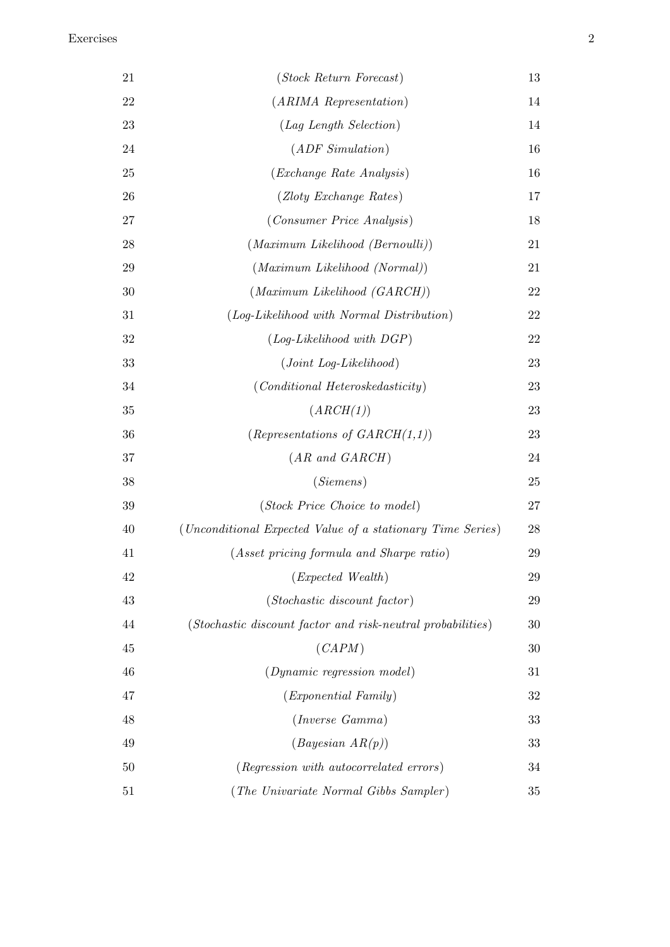| 21 | (Stock Return Forecast)                                     | 13 |
|----|-------------------------------------------------------------|----|
| 22 | $(ARIMA\ Representation)$                                   | 14 |
| 23 | (Lag Length Selection)                                      | 14 |
| 24 | $(ADF \; Simulation)$                                       | 16 |
| 25 | ( <i>Exchange Rate Analysis</i> )                           | 16 |
| 26 | (Zloty Exchange Rates)                                      | 17 |
| 27 | (Consumer Price Analysis)                                   | 18 |
| 28 | $(Maximum\ Likelihood\ (Bernoulli))$                        | 21 |
| 29 | $(Maximum\ Likelihood\ (Normal))$                           | 21 |
| 30 | $(Maximum\ Likelihood\ (GARCH))$                            | 22 |
| 31 | (Log-Likelihood with Normal Distribution)                   | 22 |
| 32 | $(Log-Likelihood with DGP)$                                 | 22 |
| 33 | $(Joint Log-Likelihood)$                                    | 23 |
| 34 | $(Conditional\ Heteroskedasticity)$                         | 23 |
| 35 | (ARCH(1))                                                   | 23 |
| 36 | (Representations of $GARCH(1,1)$ )                          | 23 |
| 37 | $(AR \text{ and } GARCH)$                                   | 24 |
| 38 | (Siemens)                                                   | 25 |
| 39 | (Stock Price Choice to model)                               | 27 |
| 40 | (Unconditional Expected Value of a stationary Time Series)  | 28 |
| 41 | (Asset pricing formula and Sharpe ratio)                    | 29 |
| 42 | (Expected Wealth)                                           | 29 |
| 43 | (Stochastic discount factor)                                | 29 |
| 44 | (Stochastic discount factor and risk-neutral probabilities) | 30 |
| 45 | (CAPM)                                                      | 30 |
| 46 | (Dynamic regression model)                                  | 31 |
| 47 | ( <i>Exponential Family</i> )                               | 32 |
| 48 | ( <i>Inverse Gamma</i> )                                    | 33 |
| 49 | $(Bayesian \; AR(p))$                                       | 33 |
| 50 | (Regression with autocorrelated errors)                     | 34 |
| 51 | (The Univariate Normal Gibbs Sampler)                       | 35 |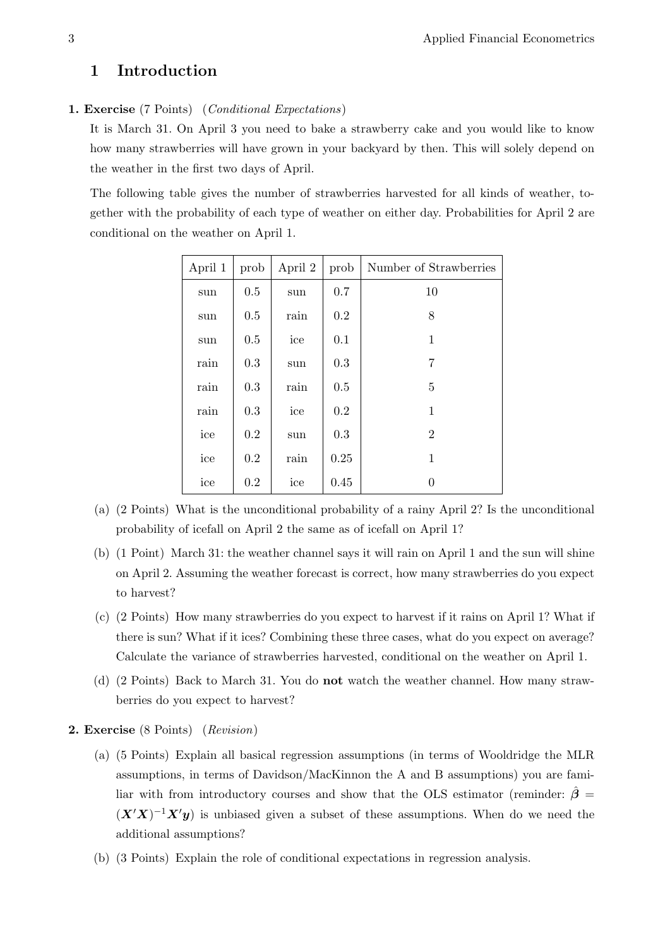# 1 Introduction

# <span id="page-2-0"></span>1. Exercise (7 Points) (Conditional Expectations)

It is March 31. On April 3 you need to bake a strawberry cake and you would like to know how many strawberries will have grown in your backyard by then. This will solely depend on the weather in the first two days of April.

The following table gives the number of strawberries harvested for all kinds of weather, together with the probability of each type of weather on either day. Probabilities for April 2 are conditional on the weather on April 1.

| April 1 | prob | April 2 | prob | Number of Strawberries |
|---------|------|---------|------|------------------------|
| sun     | 0.5  | sun     | 0.7  | 10                     |
| sun     | 0.5  | rain    | 0.2  | 8                      |
| sun     | 0.5  | ice     | 0.1  | $\mathbf{1}$           |
| rain    | 0.3  | sun     | 0.3  | $\overline{7}$         |
| rain    | 0.3  | rain    | 0.5  | 5                      |
| rain    | 0.3  | ice     | 0.2  | 1                      |
| ice     | 0.2  | sun     | 0.3  | $\overline{2}$         |
| ice     | 0.2  | rain    | 0.25 | 1                      |
| ice     | 0.2  | ice     | 0.45 | 0                      |

- (a) (2 Points) What is the unconditional probability of a rainy April 2? Is the unconditional probability of icefall on April 2 the same as of icefall on April 1?
- (b) (1 Point) March 31: the weather channel says it will rain on April 1 and the sun will shine on April 2. Assuming the weather forecast is correct, how many strawberries do you expect to harvest?
- (c) (2 Points) How many strawberries do you expect to harvest if it rains on April 1? What if there is sun? What if it ices? Combining these three cases, what do you expect on average? Calculate the variance of strawberries harvested, conditional on the weather on April 1.
- (d) (2 Points) Back to March 31. You do not watch the weather channel. How many strawberries do you expect to harvest?
- <span id="page-2-1"></span>2. Exercise (8 Points) (Revision)
	- (a) (5 Points) Explain all basical regression assumptions (in terms of Wooldridge the MLR assumptions, in terms of Davidson/MacKinnon the A and B assumptions) you are familiar with from introductory courses and show that the OLS estimator (reminder:  $\hat{\beta} =$  $(X'X)^{-1}X'y$  is unbiased given a subset of these assumptions. When do we need the additional assumptions?
	- (b) (3 Points) Explain the role of conditional expectations in regression analysis.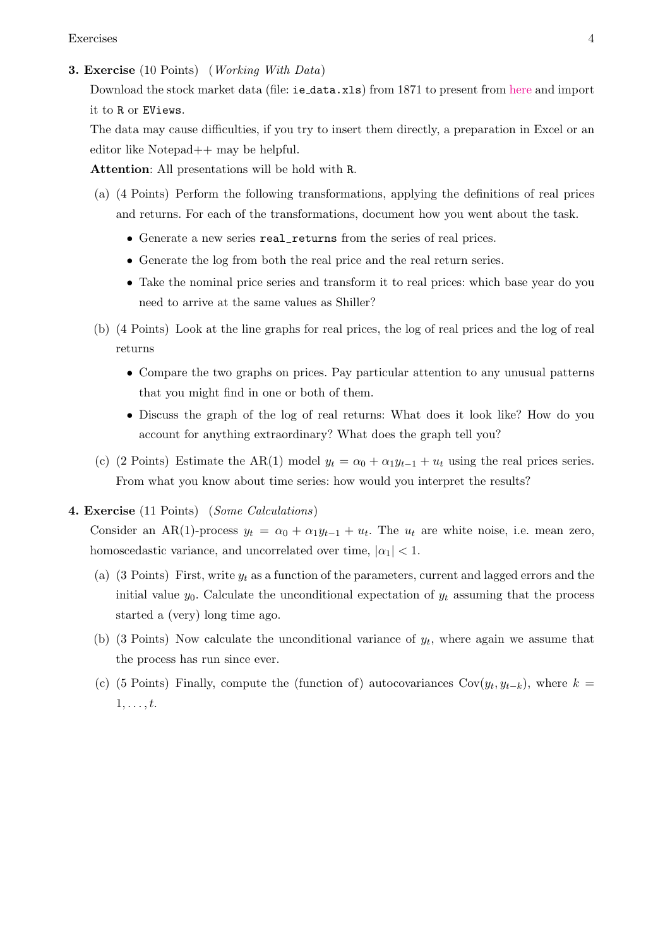Exercises 4

#### <span id="page-3-0"></span>3. Exercise (10 Points) (Working With Data)

Download the stock market data (file: ie\_data.xls) from 1871 to present from [here](http://www.econ.yale.edu/~shiller/data/ie_data.xls) and import it to R or EViews.

The data may cause difficulties, if you try to insert them directly, a preparation in Excel or an editor like Notepad++ may be helpful.

Attention: All presentations will be hold with R.

- (a) (4 Points) Perform the following transformations, applying the definitions of real prices and returns. For each of the transformations, document how you went about the task.
	- Generate a new series real\_returns from the series of real prices.
	- Generate the log from both the real price and the real return series.
	- Take the nominal price series and transform it to real prices: which base year do you need to arrive at the same values as Shiller?
- (b) (4 Points) Look at the line graphs for real prices, the log of real prices and the log of real returns
	- Compare the two graphs on prices. Pay particular attention to any unusual patterns that you might find in one or both of them.
	- Discuss the graph of the log of real returns: What does it look like? How do you account for anything extraordinary? What does the graph tell you?
- (c) (2 Points) Estimate the AR(1) model  $y_t = \alpha_0 + \alpha_1 y_{t-1} + u_t$  using the real prices series. From what you know about time series: how would you interpret the results?
- <span id="page-3-1"></span>4. Exercise (11 Points) (Some Calculations)

Consider an AR(1)-process  $y_t = \alpha_0 + \alpha_1 y_{t-1} + u_t$ . The  $u_t$  are white noise, i.e. mean zero, homoscedastic variance, and uncorrelated over time,  $|\alpha_1|$  < 1.

- (a) (3 Points) First, write  $y_t$  as a function of the parameters, current and lagged errors and the initial value  $y_0$ . Calculate the unconditional expectation of  $y_t$  assuming that the process started a (very) long time ago.
- (b) (3 Points) Now calculate the unconditional variance of  $y_t$ , where again we assume that the process has run since ever.
- (c) (5 Points) Finally, compute the (function of) autocovariances Cov $(y_t, y_{t-k})$ , where  $k =$  $1, \ldots, t$ .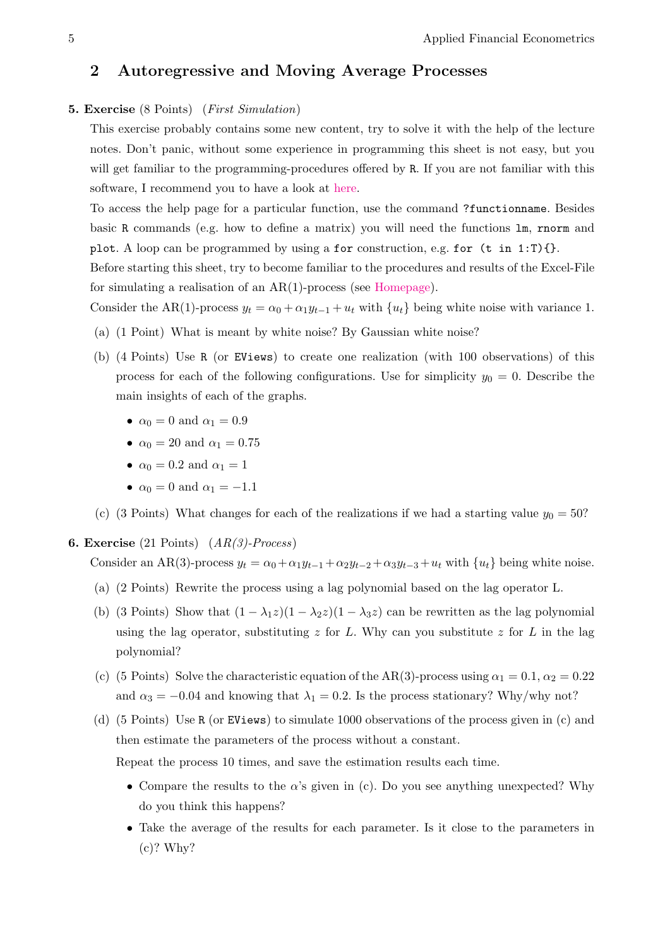# 2 Autoregressive and Moving Average Processes

## <span id="page-4-0"></span>5. Exercise (8 Points) (First Simulation)

This exercise probably contains some new content, try to solve it with the help of the lecture notes. Don't panic, without some experience in programming this sheet is not easy, but you will get familiar to the programming-procedures offered by R. If you are not familiar with this software, I recommend you to have a look at [here.](http://www.uni-regensburg.de/wirtschaftswissenschaften/vwl-tschernig/lehre/master/programmieren-mit-r/index.html)

To access the help page for a particular function, use the command ?functionname. Besides basic R commands (e.g. how to define a matrix) you will need the functions lm, rnorm and plot. A loop can be programmed by using a for construction, e.g. for  $(t \text{ in } 1:T)$  {}.

Before starting this sheet, try to become familiar to the procedures and results of the Excel-File for simulating a realisation of an AR(1)-process (see [Homepage\)](http://www.uni-regensburg.de/wirtschaftswissenschaften/vwl-tschernig/medien/applied-financial-econometrics/ar1_simulation.xlsx).

Consider the AR(1)-process  $y_t = \alpha_0 + \alpha_1 y_{t-1} + u_t$  with  $\{u_t\}$  being white noise with variance 1.

- (a) (1 Point) What is meant by white noise? By Gaussian white noise?
- (b) (4 Points) Use R (or EViews) to create one realization (with 100 observations) of this process for each of the following configurations. Use for simplicity  $y_0 = 0$ . Describe the main insights of each of the graphs.
	- $\alpha_0 = 0$  and  $\alpha_1 = 0.9$
	- $\alpha_0 = 20$  and  $\alpha_1 = 0.75$
	- $\alpha_0 = 0.2$  and  $\alpha_1 = 1$
	- $\alpha_0 = 0$  and  $\alpha_1 = -1.1$
- (c) (3 Points) What changes for each of the realizations if we had a starting value  $y_0 = 50$ ?

## <span id="page-4-1"></span>**6. Exercise** (21 Points)  $(AR(3)-Process)$

Consider an AR(3)-process  $y_t = \alpha_0 + \alpha_1 y_{t-1} + \alpha_2 y_{t-2} + \alpha_3 y_{t-3} + u_t$  with  $\{u_t\}$  being white noise.

- (a) (2 Points) Rewrite the process using a lag polynomial based on the lag operator L.
- (b) (3 Points) Show that  $(1 \lambda_1 z)(1 \lambda_2 z)(1 \lambda_3 z)$  can be rewritten as the lag polynomial using the lag operator, substituting  $z$  for  $L$ . Why can you substitute  $z$  for  $L$  in the lag polynomial?
- (c) (5 Points) Solve the characteristic equation of the AR(3)-process using  $\alpha_1 = 0.1, \alpha_2 = 0.22$ and  $\alpha_3 = -0.04$  and knowing that  $\lambda_1 = 0.2$ . Is the process stationary? Why/why not?
- (d) (5 Points) Use R (or EViews) to simulate 1000 observations of the process given in (c) and then estimate the parameters of the process without a constant.

Repeat the process 10 times, and save the estimation results each time.

- Compare the results to the  $\alpha$ 's given in (c). Do you see anything unexpected? Why do you think this happens?
- Take the average of the results for each parameter. Is it close to the parameters in (c)? Why?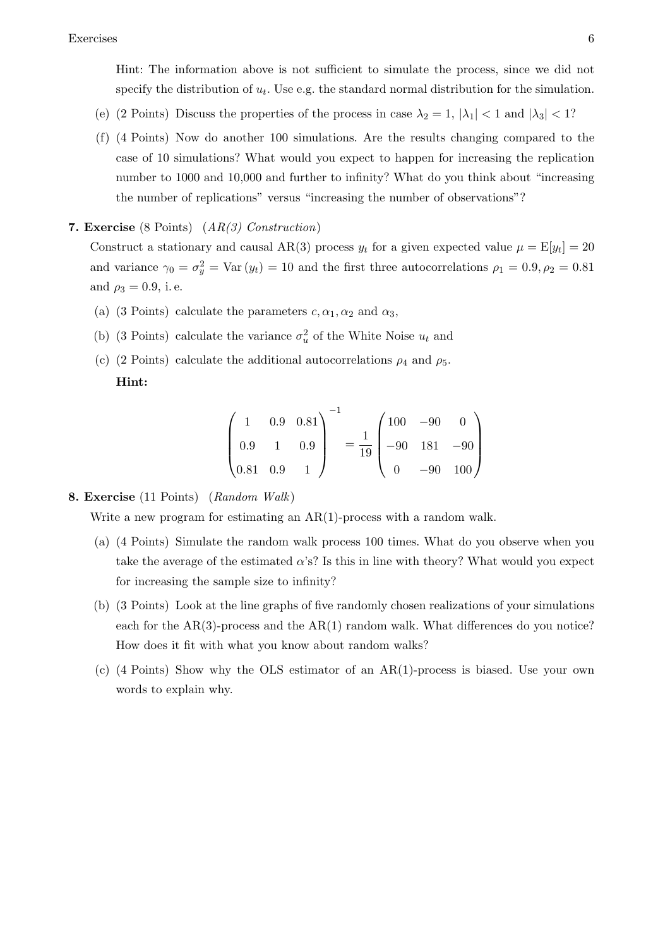Hint: The information above is not sufficient to simulate the process, since we did not specify the distribution of  $u_t$ . Use e.g. the standard normal distribution for the simulation.

- (e) (2 Points) Discuss the properties of the process in case  $\lambda_2 = 1$ ,  $|\lambda_1| < 1$  and  $|\lambda_3| < 1$ ?
- (f) (4 Points) Now do another 100 simulations. Are the results changing compared to the case of 10 simulations? What would you expect to happen for increasing the replication number to 1000 and 10,000 and further to infinity? What do you think about "increasing the number of replications" versus "increasing the number of observations"?
- <span id="page-5-0"></span>**7. Exercise** (8 Points)  $(AR(3)$  Construction)

Construct a stationary and causal AR(3) process  $y_t$  for a given expected value  $\mu = \mathbb{E}[y_t] = 20$ and variance  $\gamma_0 = \sigma_y^2 = \text{Var}(y_t) = 10$  and the first three autocorrelations  $\rho_1 = 0.9, \rho_2 = 0.81$ and  $\rho_3 = 0.9$ , i.e.

- (a) (3 Points) calculate the parameters  $c, \alpha_1, \alpha_2$  and  $\alpha_3$ ,
- (b) (3 Points) calculate the variance  $\sigma_u^2$  of the White Noise  $u_t$  and
- (c) (2 Points) calculate the additional autocorrelations  $\rho_4$  and  $\rho_5$ . Hint:

$$
\begin{pmatrix} 1 & 0.9 & 0.81 \\ 0.9 & 1 & 0.9 \\ 0.81 & 0.9 & 1 \end{pmatrix}^{-1} = \frac{1}{19} \begin{pmatrix} 100 & -90 & 0 \\ -90 & 181 & -90 \\ 0 & -90 & 100 \end{pmatrix}
$$

# <span id="page-5-1"></span>8. Exercise (11 Points) (Random Walk)

Write a new program for estimating an AR(1)-process with a random walk.

- (a) (4 Points) Simulate the random walk process 100 times. What do you observe when you take the average of the estimated  $\alpha$ 's? Is this in line with theory? What would you expect for increasing the sample size to infinity?
- (b) (3 Points) Look at the line graphs of five randomly chosen realizations of your simulations each for the  $AR(3)$ -process and the  $AR(1)$  random walk. What differences do you notice? How does it fit with what you know about random walks?
- (c) (4 Points) Show why the OLS estimator of an AR(1)-process is biased. Use your own words to explain why.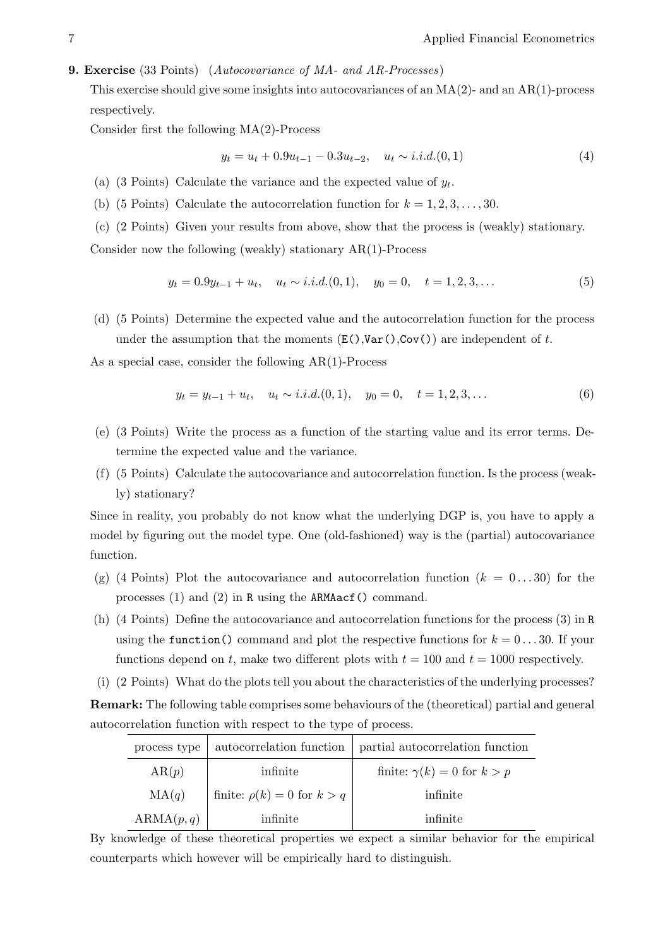#### <span id="page-6-0"></span>9. Exercise (33 Points) (Autocovariance of MA- and AR-Processes)

This exercise should give some insights into autocovariances of an  $MA(2)$ - and an  $AR(1)$ -process respectively.

Consider first the following MA(2)-Process

$$
y_t = u_t + 0.9u_{t-1} - 0.3u_{t-2}, \quad u_t \sim i.i.d. (0, 1) \tag{4}
$$

- (a) (3 Points) Calculate the variance and the expected value of  $y_t$ .
- (b) (5 Points) Calculate the autocorrelation function for  $k = 1, 2, 3, \ldots, 30$ .
- (c) (2 Points) Given your results from above, show that the process is (weakly) stationary.

Consider now the following (weakly) stationary AR(1)-Process

$$
y_t = 0.9y_{t-1} + u_t, \quad u_t \sim i.i.d. (0, 1), \quad y_0 = 0, \quad t = 1, 2, 3, \dots
$$
 (5)

(d) (5 Points) Determine the expected value and the autocorrelation function for the process under the assumption that the moments  $(E()$ , Var $()$ , Cov $()$ ) are independent of t.

As a special case, consider the following AR(1)-Process

$$
y_t = y_{t-1} + u_t, \quad u_t \sim i.i.d. (0, 1), \quad y_0 = 0, \quad t = 1, 2, 3, \dots
$$
 (6)

- (e) (3 Points) Write the process as a function of the starting value and its error terms. Determine the expected value and the variance.
- (f) (5 Points) Calculate the autocovariance and autocorrelation function. Is the process (weakly) stationary?

Since in reality, you probably do not know what the underlying DGP is, you have to apply a model by figuring out the model type. One (old-fashioned) way is the (partial) autocovariance function.

- (g) (4 Points) Plot the autocovariance and autocorrelation function  $(k = 0...30)$  for the processes (1) and (2) in R using the ARMAacf() command.
- (h) (4 Points) Define the autocovariance and autocorrelation functions for the process (3) in R using the function() command and plot the respective functions for  $k = 0...30$ . If your functions depend on t, make two different plots with  $t = 100$  and  $t = 1000$  respectively.
- (i) (2 Points) What do the plots tell you about the characteristics of the underlying processes?

Remark: The following table comprises some behaviours of the (theoretical) partial and general autocorrelation function with respect to the type of process.

| process type | autocorrelation function          | partial autocorrelation function    |
|--------------|-----------------------------------|-------------------------------------|
| AR(p)        | infinite                          | finite: $\gamma(k) = 0$ for $k > p$ |
| MA(q)        | finite: $\rho(k) = 0$ for $k > q$ | infinite                            |
| ARMA(p, q)   | infinite                          | infinite                            |

By knowledge of these theoretical properties we expect a similar behavior for the empirical counterparts which however will be empirically hard to distinguish.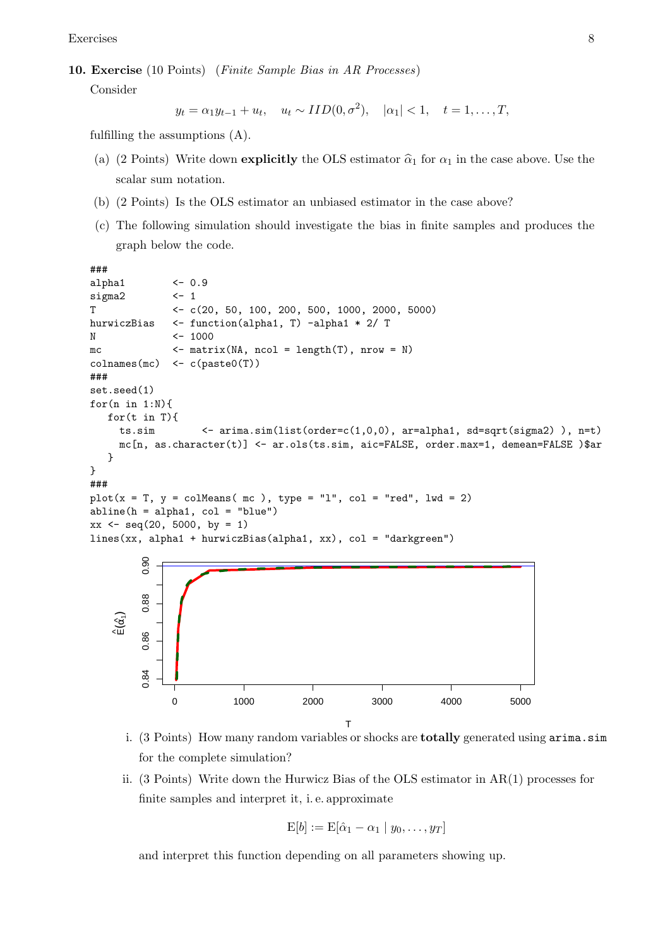Exercises 8

<span id="page-7-0"></span>10. Exercise (10 Points) (Finite Sample Bias in AR Processes)

Consider

$$
y_t = \alpha_1 y_{t-1} + u_t
$$
,  $u_t \sim IID(0, \sigma^2)$ ,  $|\alpha_1| < 1$ ,  $t = 1, ..., T$ ,

fulfilling the assumptions (A).

- (a) (2 Points) Write down explicitly the OLS estimator  $\hat{\alpha}_1$  for  $\alpha_1$  in the case above. Use the scalar sum notation.
- (b) (2 Points) Is the OLS estimator an unbiased estimator in the case above?
- (c) The following simulation should investigate the bias in finite samples and produces the graph below the code.

```
###
alpha1 <- 0.9
sigma2 \leftarrow 1
T <- c(20, 50, 100, 200, 500, 1000, 2000, 5000)
hurwiczBias <- function(alpha1, T) -alpha1 * 2/ T
N <- 1000
mc \leftarrow matrix(NA, ncol = length(T), nrow = N)
\text{colnames}(\text{mc}) \leftarrow \text{c}(\text{past}(\text{T}))###
set.seed(1)
for(n in 1:N){
   for(t in T){
     ts.sim \leq arima.sim(list(order=c(1,0,0), ar=alpha1, sd=sqrt(sigma2)), n=t)
     mc[n, as.character(t)] <- ar.ols(ts.sim, aic=FALSE, order.max=1, demean=FALSE )$ar
   }
}
###
plot(x = T, y = colMeans(mc), type = "l", col = "red", lwd = 2)abline(h = alpha1, col = "blue")xx \leftarrow \text{seq}(20, 5000, \text{ by } = 1)lines(xx, alpha1 + hurwiczBias(alpha1, xx), col = "darkgreen")
         0.900.84 0.86 0.88 0.90
         0.88
    \hat{\mathsf{E}}(\hat{\alpha_i})0.86
         0.84
               0 1000 2000 3000 4000 5000
                                               T
```
- i. (3 Points) How many random variables or shocks are totally generated using arima.sim for the complete simulation?
- ii. (3 Points) Write down the Hurwicz Bias of the OLS estimator in AR(1) processes for finite samples and interpret it, i. e. approximate

$$
E[b] := E[\hat{\alpha}_1 - \alpha_1 \mid y_0, \dots, y_T]
$$

and interpret this function depending on all parameters showing up.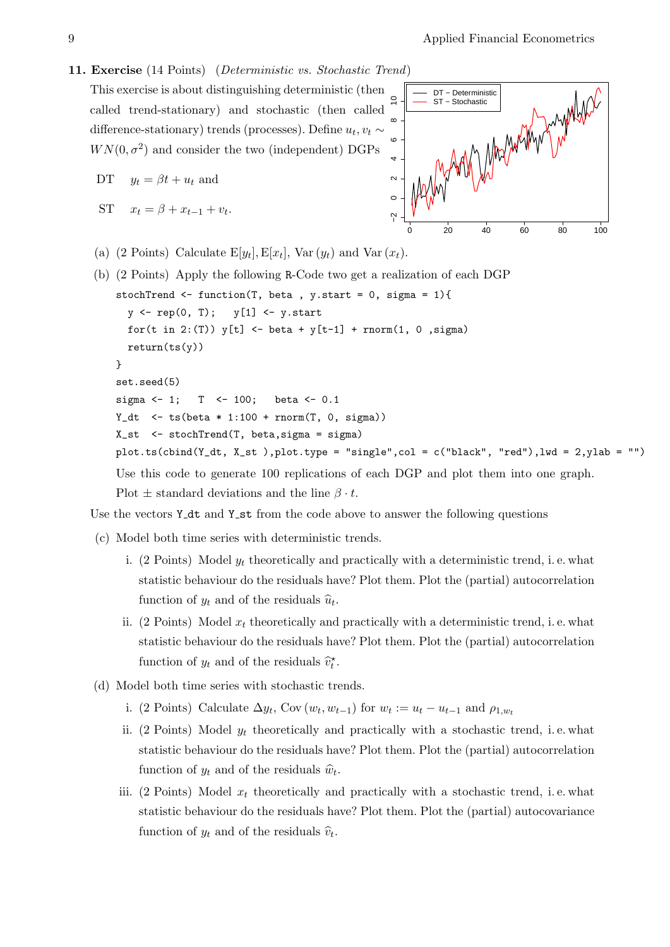## <span id="page-8-0"></span>11. Exercise (14 Points) (Deterministic vs. Stochastic Trend)

This exercise is about distinguishing deterministic (then called trend-stationary) and stochastic (then called difference-stationary) trends (processes). Define  $u_t, v_t \sim$  $WN(0, \sigma^2)$  and consider the two (independent) DGPs

DT 
$$
y_t = \beta t + u_t
$$
 and

ST  $x_t = \beta + x_{t-1} + v_t$ .



(a) (2 Points) Calculate  $E[y_t], E[x_t], Var(y_t)$  and Var  $(x_t)$ .

```
(b) (2 Points) Apply the following R-Code two get a realization of each DGP
    stochTrend \leq function(T, beta, y.start = 0, sigma = 1){
      y \leftarrow \text{rep}(0, T); \quad y[1] \leftarrow y \text{.start}for(t in 2:(T)) y[t] <- beta + y[t-1] + rnorm(1, 0, sigma)
      return(ts(y))}
    set.seed(5)
    sigma <-1; T <-100; beta <-0.1Y_dt \leftarrow ts(beta * 1:100 + rnorm(T, 0, sigma))
    X_st <- stochTrend(T, beta,sigma = sigma)
    plot.ts(cbind(Y_dt, X_st ),plot.type = "single",col = c("black", "red"),lwd = 2,ylab = "")
    Use this code to generate 100 replications of each DGP and plot them into one graph.
    Plot \pm standard deviations and the line \beta \cdot t.
```
Use the vectors  $Y_{\text{-}}dt$  and  $Y_{\text{-}}st$  from the code above to answer the following questions

- (c) Model both time series with deterministic trends.
	- i. (2 Points) Model  $y_t$  theoretically and practically with a deterministic trend, i.e. what statistic behaviour do the residuals have? Plot them. Plot the (partial) autocorrelation function of  $y_t$  and of the residuals  $\widehat{u}_t$ .
	- ii. (2 Points) Model  $x_t$  theoretically and practically with a deterministic trend, i.e. what statistic behaviour do the residuals have? Plot them. Plot the (partial) autocorrelation function of  $y_t$  and of the residuals  $\hat{v}_t^*$ .
- (d) Model both time series with stochastic trends.
	- i. (2 Points) Calculate  $\Delta y_t$ , Cov  $(w_t, w_{t-1})$  for  $w_t := u_t u_{t-1}$  and  $\rho_{1,w_t}$
	- ii. (2 Points) Model  $y_t$  theoretically and practically with a stochastic trend, i.e. what statistic behaviour do the residuals have? Plot them. Plot the (partial) autocorrelation function of  $y_t$  and of the residuals  $\hat{w}_t$ .
	- iii. (2 Points) Model  $x_t$  theoretically and practically with a stochastic trend, i.e. what statistic behaviour do the residuals have? Plot them. Plot the (partial) autocovariance function of  $y_t$  and of the residuals  $\hat{v}_t$ .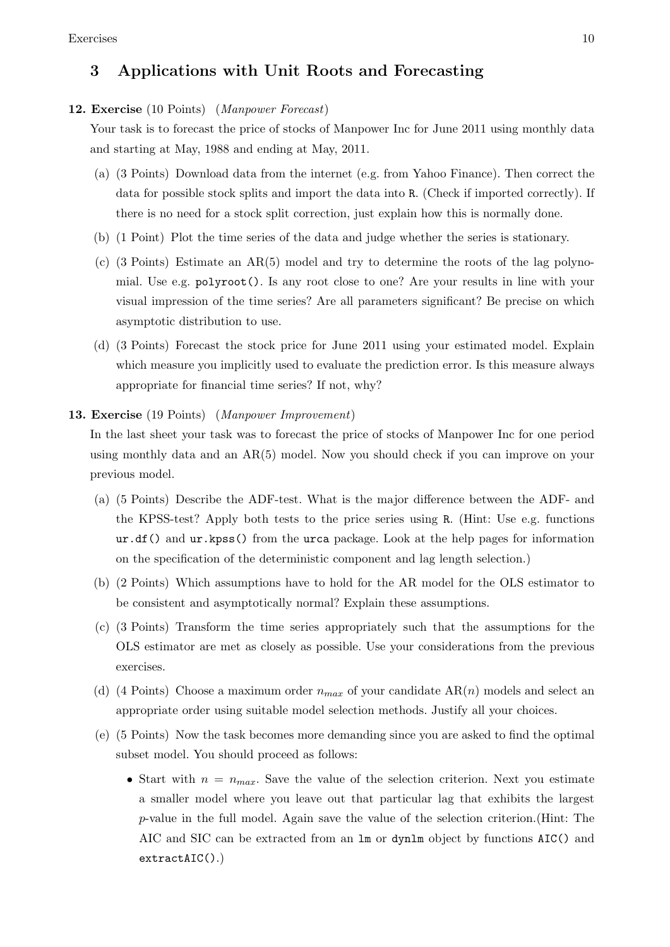# 3 Applications with Unit Roots and Forecasting

#### <span id="page-9-0"></span>12. Exercise (10 Points) (Manpower Forecast)

Your task is to forecast the price of stocks of Manpower Inc for June 2011 using monthly data and starting at May, 1988 and ending at May, 2011.

- (a) (3 Points) Download data from the internet (e.g. from Yahoo Finance). Then correct the data for possible stock splits and import the data into R. (Check if imported correctly). If there is no need for a stock split correction, just explain how this is normally done.
- (b) (1 Point) Plot the time series of the data and judge whether the series is stationary.
- (c) (3 Points) Estimate an AR(5) model and try to determine the roots of the lag polynomial. Use e.g. polyroot(). Is any root close to one? Are your results in line with your visual impression of the time series? Are all parameters significant? Be precise on which asymptotic distribution to use.
- (d) (3 Points) Forecast the stock price for June 2011 using your estimated model. Explain which measure you implicitly used to evaluate the prediction error. Is this measure always appropriate for financial time series? If not, why?

## <span id="page-9-1"></span>13. Exercise (19 Points) (Manpower Improvement)

In the last sheet your task was to forecast the price of stocks of Manpower Inc for one period using monthly data and an AR(5) model. Now you should check if you can improve on your previous model.

- (a) (5 Points) Describe the ADF-test. What is the major difference between the ADF- and the KPSS-test? Apply both tests to the price series using R. (Hint: Use e.g. functions ur.df() and ur.kpss() from the urca package. Look at the help pages for information on the specification of the deterministic component and lag length selection.)
- (b) (2 Points) Which assumptions have to hold for the AR model for the OLS estimator to be consistent and asymptotically normal? Explain these assumptions.
- (c) (3 Points) Transform the time series appropriately such that the assumptions for the OLS estimator are met as closely as possible. Use your considerations from the previous exercises.
- (d) (4 Points) Choose a maximum order  $n_{max}$  of your candidate AR(n) models and select an appropriate order using suitable model selection methods. Justify all your choices.
- (e) (5 Points) Now the task becomes more demanding since you are asked to find the optimal subset model. You should proceed as follows:
	- Start with  $n = n_{max}$ . Save the value of the selection criterion. Next you estimate a smaller model where you leave out that particular lag that exhibits the largest p-value in the full model. Again save the value of the selection criterion.(Hint: The AIC and SIC can be extracted from an lm or dynlm object by functions AIC() and extractAIC().)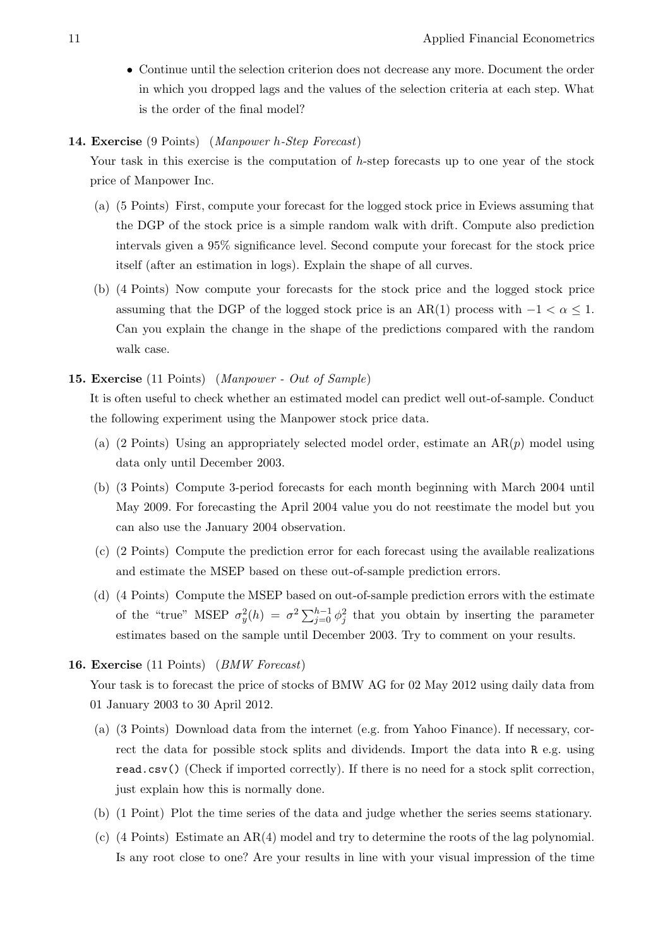• Continue until the selection criterion does not decrease any more. Document the order in which you dropped lags and the values of the selection criteria at each step. What is the order of the final model?

## <span id="page-10-0"></span>14. Exercise (9 Points) (Manpower h-Step Forecast)

Your task in this exercise is the computation of h-step forecasts up to one year of the stock price of Manpower Inc.

- (a) (5 Points) First, compute your forecast for the logged stock price in Eviews assuming that the DGP of the stock price is a simple random walk with drift. Compute also prediction intervals given a 95% significance level. Second compute your forecast for the stock price itself (after an estimation in logs). Explain the shape of all curves.
- (b) (4 Points) Now compute your forecasts for the stock price and the logged stock price assuming that the DGP of the logged stock price is an AR(1) process with  $-1 < \alpha \leq 1$ . Can you explain the change in the shape of the predictions compared with the random walk case.

# <span id="page-10-1"></span>15. Exercise (11 Points) (Manpower - Out of Sample)

It is often useful to check whether an estimated model can predict well out-of-sample. Conduct the following experiment using the Manpower stock price data.

- (a) (2 Points) Using an appropriately selected model order, estimate an  $AR(p)$  model using data only until December 2003.
- (b) (3 Points) Compute 3-period forecasts for each month beginning with March 2004 until May 2009. For forecasting the April 2004 value you do not reestimate the model but you can also use the January 2004 observation.
- (c) (2 Points) Compute the prediction error for each forecast using the available realizations and estimate the MSEP based on these out-of-sample prediction errors.
- (d) (4 Points) Compute the MSEP based on out-of-sample prediction errors with the estimate of the "true" MSEP  $\sigma_y^2(h) = \sigma^2 \sum_{j=0}^{h-1} \phi_j^2$  that you obtain by inserting the parameter estimates based on the sample until December 2003. Try to comment on your results.

## <span id="page-10-2"></span>16. Exercise (11 Points) (BMW Forecast)

Your task is to forecast the price of stocks of BMW AG for 02 May 2012 using daily data from 01 January 2003 to 30 April 2012.

- (a) (3 Points) Download data from the internet (e.g. from Yahoo Finance). If necessary, correct the data for possible stock splits and dividends. Import the data into R e.g. using read.csv() (Check if imported correctly). If there is no need for a stock split correction, just explain how this is normally done.
- (b) (1 Point) Plot the time series of the data and judge whether the series seems stationary.
- (c) (4 Points) Estimate an AR(4) model and try to determine the roots of the lag polynomial. Is any root close to one? Are your results in line with your visual impression of the time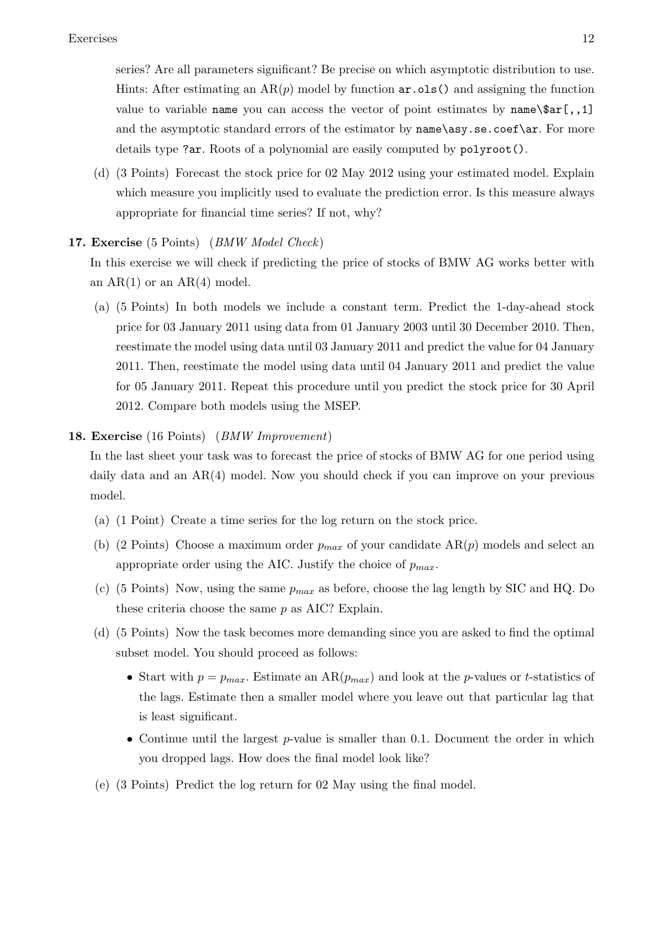series? Are all parameters significant? Be precise on which asymptotic distribution to use. Hints: After estimating an  $AR(p)$  model by function  $ar \cdot obs($  and assigning the function value to variable name you can access the vector of point estimates by name $\frac{\tan^{-1} \cdot \tan^{-1} \cdot \tan^{-1} \cdot \tan^{-1} \cdot \tan^{-1} \cdot \tan^{-1} \cdot \tan^{-1} \cdot \tan^{-1} \cdot \tan^{-1} \cdot \tan^{-1} \cdot \tan^{-1} \cdot \tan^{-1} \cdot \tan^{-1} \cdot \tan^{-1} \cdot \tan^{-1} \cdot \tan^{-1} \cdot \tan^{-1} \cdot \tan^{-1} \cdot \tan^{-1} \cdot \tan^{-1} \cdot \tan^{$ and the asymptotic standard errors of the estimator by name\asy.se.coef\ar. For more details type ?ar. Roots of a polynomial are easily computed by polyroot().

(d) (3 Points) Forecast the stock price for 02 May 2012 using your estimated model. Explain which measure you implicitly used to evaluate the prediction error. Is this measure always appropriate for financial time series? If not, why?

# <span id="page-11-0"></span>17. Exercise (5 Points) (BMW Model Check)

In this exercise we will check if predicting the price of stocks of BMW AG works better with an  $AR(1)$  or an  $AR(4)$  model.

(a) (5 Points) In both models we include a constant term. Predict the 1-day-ahead stock price for 03 January 2011 using data from 01 January 2003 until 30 December 2010. Then, reestimate the model using data until 03 January 2011 and predict the value for 04 January 2011. Then, reestimate the model using data until 04 January 2011 and predict the value for 05 January 2011. Repeat this procedure until you predict the stock price for 30 April 2012. Compare both models using the MSEP.

# <span id="page-11-1"></span>18. Exercise (16 Points) (BMW Improvement)

In the last sheet your task was to forecast the price of stocks of BMW AG for one period using daily data and an AR(4) model. Now you should check if you can improve on your previous model.

- (a) (1 Point) Create a time series for the log return on the stock price.
- (b) (2 Points) Choose a maximum order  $p_{max}$  of your candidate  $AR(p)$  models and select an appropriate order using the AIC. Justify the choice of  $p_{max}$ .
- (c) (5 Points) Now, using the same  $p_{max}$  as before, choose the lag length by SIC and HQ. Do these criteria choose the same p as AIC? Explain.
- (d) (5 Points) Now the task becomes more demanding since you are asked to find the optimal subset model. You should proceed as follows:
	- Start with  $p = p_{max}$ . Estimate an  $AR(p_{max})$  and look at the p-values or t-statistics of the lags. Estimate then a smaller model where you leave out that particular lag that is least significant.
	- Continue until the largest  $p$ -value is smaller than 0.1. Document the order in which you dropped lags. How does the final model look like?
- (e) (3 Points) Predict the log return for 02 May using the final model.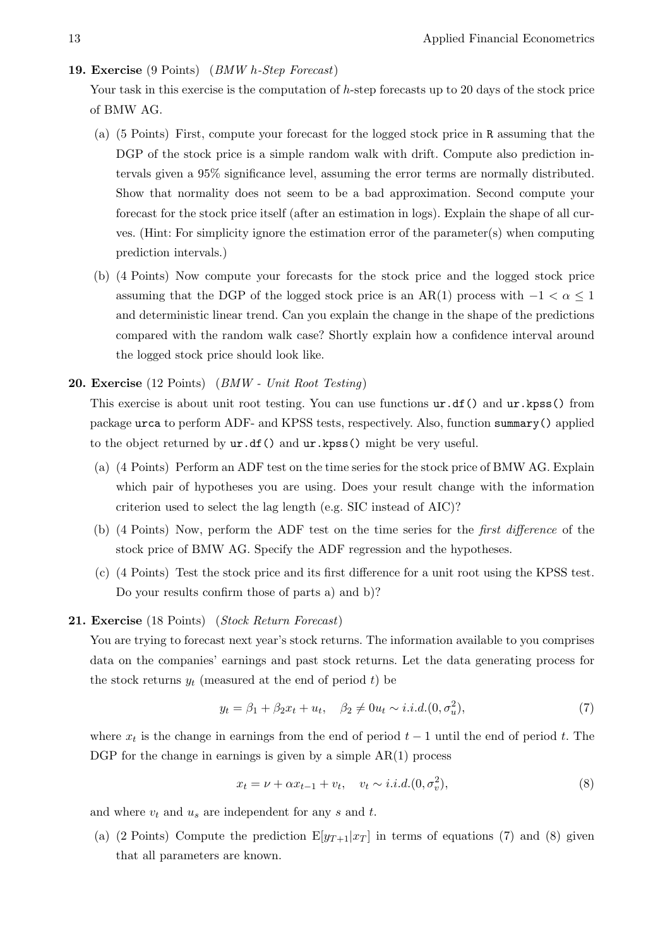#### <span id="page-12-0"></span>19. Exercise (9 Points) (BMW h-Step Forecast)

Your task in this exercise is the computation of h-step forecasts up to 20 days of the stock price of BMW AG.

- (a) (5 Points) First, compute your forecast for the logged stock price in R assuming that the DGP of the stock price is a simple random walk with drift. Compute also prediction intervals given a 95% significance level, assuming the error terms are normally distributed. Show that normality does not seem to be a bad approximation. Second compute your forecast for the stock price itself (after an estimation in logs). Explain the shape of all curves. (Hint: For simplicity ignore the estimation error of the parameter(s) when computing prediction intervals.)
- (b) (4 Points) Now compute your forecasts for the stock price and the logged stock price assuming that the DGP of the logged stock price is an AR(1) process with  $-1 < \alpha < 1$ and deterministic linear trend. Can you explain the change in the shape of the predictions compared with the random walk case? Shortly explain how a confidence interval around the logged stock price should look like.

#### <span id="page-12-1"></span>20. Exercise (12 Points) (BMW - Unit Root Testing)

This exercise is about unit root testing. You can use functions ur.df() and ur.kpss() from package urca to perform ADF- and KPSS tests, respectively. Also, function summary() applied to the object returned by ur.df() and ur.kpss() might be very useful.

- (a) (4 Points) Perform an ADF test on the time series for the stock price of BMW AG. Explain which pair of hypotheses you are using. Does your result change with the information criterion used to select the lag length (e.g. SIC instead of AIC)?
- (b) (4 Points) Now, perform the ADF test on the time series for the first difference of the stock price of BMW AG. Specify the ADF regression and the hypotheses.
- (c) (4 Points) Test the stock price and its first difference for a unit root using the KPSS test. Do your results confirm those of parts a) and b)?

# <span id="page-12-2"></span>21. Exercise (18 Points) (Stock Return Forecast)

You are trying to forecast next year's stock returns. The information available to you comprises data on the companies' earnings and past stock returns. Let the data generating process for the stock returns  $y_t$  (measured at the end of period t) be

<span id="page-12-3"></span>
$$
y_t = \beta_1 + \beta_2 x_t + u_t, \quad \beta_2 \neq 0 u_t \sim i.i.d. (0, \sigma_u^2), \tag{7}
$$

where  $x_t$  is the change in earnings from the end of period  $t-1$  until the end of period t. The DGP for the change in earnings is given by a simple  $AR(1)$  process

<span id="page-12-4"></span>
$$
x_t = \nu + \alpha x_{t-1} + v_t, \quad v_t \sim i.i.d. (0, \sigma_v^2), \tag{8}
$$

and where  $v_t$  and  $u_s$  are independent for any s and t.

(a) (2 Points) Compute the prediction  $E[y_{T+1}|x_T]$  in terms of equations [\(7\)](#page-12-3) and [\(8\)](#page-12-4) given that all parameters are known.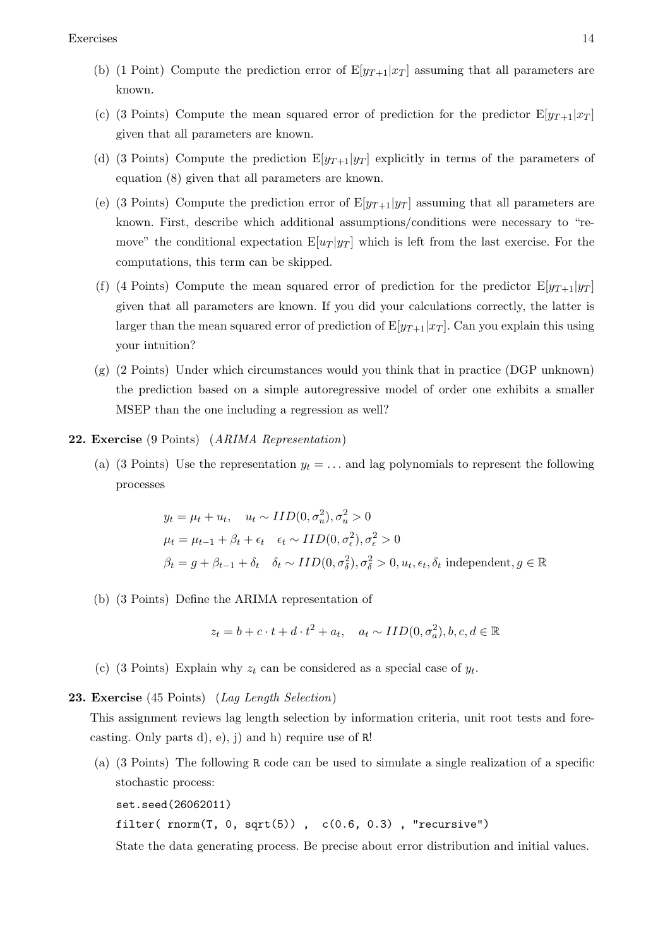- (b) (1 Point) Compute the prediction error of  $E[y_{T+1}|x_T]$  assuming that all parameters are known.
- (c) (3 Points) Compute the mean squared error of prediction for the predictor  $E[y_{T+1}|x_T]$ given that all parameters are known.
- (d) (3 Points) Compute the prediction  $E[y_{T+1}|y_T]$  explicitly in terms of the parameters of equation [\(8\)](#page-12-4) given that all parameters are known.
- (e) (3 Points) Compute the prediction error of  $E[y_{T+1}|y_T]$  assuming that all parameters are known. First, describe which additional assumptions/conditions were necessary to "remove" the conditional expectation  $E[u_T | y_T]$  which is left from the last exercise. For the computations, this term can be skipped.
- (f) (4 Points) Compute the mean squared error of prediction for the predictor  $E[y_{T+1}|y_T]$ given that all parameters are known. If you did your calculations correctly, the latter is larger than the mean squared error of prediction of  $E[y_{T+1}|x_T]$ . Can you explain this using your intuition?
- (g) (2 Points) Under which circumstances would you think that in practice (DGP unknown) the prediction based on a simple autoregressive model of order one exhibits a smaller MSEP than the one including a regression as well?

#### <span id="page-13-0"></span>22. Exercise (9 Points) (ARIMA Representation)

(a) (3 Points) Use the representation  $y_t = \ldots$  and lag polynomials to represent the following processes

$$
y_t = \mu_t + u_t, \quad u_t \sim IID(0, \sigma_u^2), \sigma_u^2 > 0
$$
  

$$
\mu_t = \mu_{t-1} + \beta_t + \epsilon_t \quad \epsilon_t \sim IID(0, \sigma_\epsilon^2), \sigma_\epsilon^2 > 0
$$
  

$$
\beta_t = g + \beta_{t-1} + \delta_t \quad \delta_t \sim IID(0, \sigma_\delta^2), \sigma_\delta^2 > 0, u_t, \epsilon_t, \delta_t \text{ independent}, g \in \mathbb{R}
$$

(b) (3 Points) Define the ARIMA representation of

$$
z_t = b + c \cdot t + d \cdot t^2 + a_t, \quad a_t \sim IID(0, \sigma_a^2), b, c, d \in \mathbb{R}
$$

(c) (3 Points) Explain why  $z_t$  can be considered as a special case of  $y_t$ .

#### <span id="page-13-1"></span>23. Exercise (45 Points) (Lag Length Selection)

This assignment reviews lag length selection by information criteria, unit root tests and forecasting. Only parts d), e),  $\mathbf{i}$  and h) require use of R!

(a) (3 Points) The following R code can be used to simulate a single realization of a specific stochastic process:

```
set.seed(26062011)
```
filter( $rnorm(T, 0, sqrt(5))$ ,  $c(0.6, 0.3)$ , "recursive")

State the data generating process. Be precise about error distribution and initial values.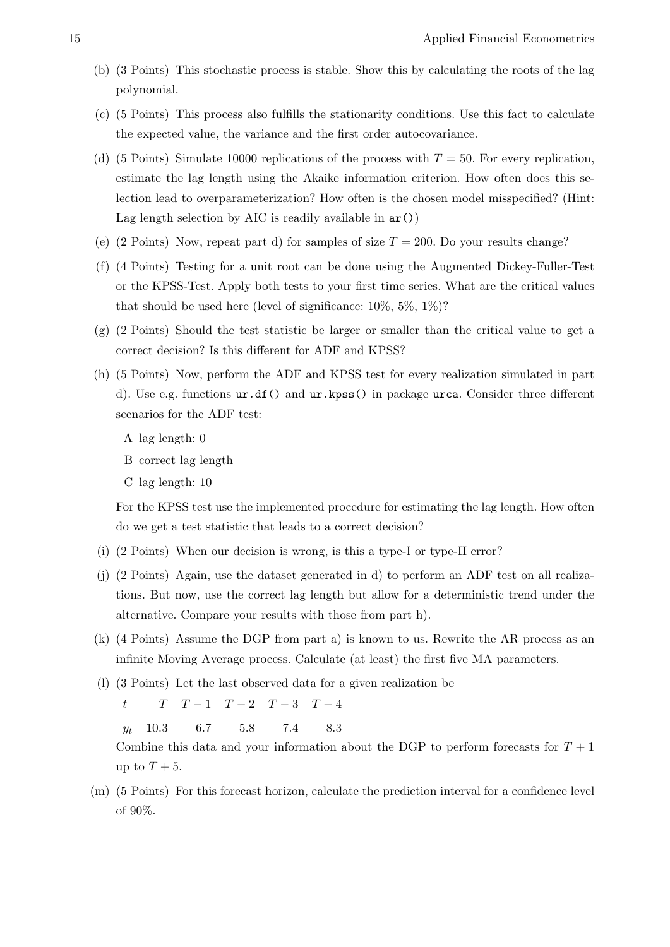- (b) (3 Points) This stochastic process is stable. Show this by calculating the roots of the lag polynomial.
- (c) (5 Points) This process also fulfills the stationarity conditions. Use this fact to calculate the expected value, the variance and the first order autocovariance.
- (d) (5 Points) Simulate 10000 replications of the process with  $T = 50$ . For every replication, estimate the lag length using the Akaike information criterion. How often does this selection lead to overparameterization? How often is the chosen model misspecified? (Hint: Lag length selection by AIC is readily available in  $ar($ )
- (e) (2 Points) Now, repeat part d) for samples of size  $T = 200$ . Do your results change?
- (f) (4 Points) Testing for a unit root can be done using the Augmented Dickey-Fuller-Test or the KPSS-Test. Apply both tests to your first time series. What are the critical values that should be used here (level of significance:  $10\%, 5\%, 1\%$ )?
- $(g)$  (2 Points) Should the test statistic be larger or smaller than the critical value to get a correct decision? Is this different for ADF and KPSS?
- (h) (5 Points) Now, perform the ADF and KPSS test for every realization simulated in part d). Use e.g. functions ur.df() and ur.kpss() in package urca. Consider three different scenarios for the ADF test:
	- A lag length: 0
	- B correct lag length
	- C lag length: 10

For the KPSS test use the implemented procedure for estimating the lag length. How often do we get a test statistic that leads to a correct decision?

- (i) (2 Points) When our decision is wrong, is this a type-I or type-II error?
- (j) (2 Points) Again, use the dataset generated in d) to perform an ADF test on all realizations. But now, use the correct lag length but allow for a deterministic trend under the alternative. Compare your results with those from part h).
- (k) (4 Points) Assume the DGP from part a) is known to us. Rewrite the AR process as an infinite Moving Average process. Calculate (at least) the first five MA parameters.
- (l) (3 Points) Let the last observed data for a given realization be

$$
t \qquad T \quad T-1 \quad T-2 \quad T-3 \quad T-4
$$

 $y_t$  10.3 6.7 5.8 7.4 8.3

Combine this data and your information about the DGP to perform forecasts for  $T + 1$ up to  $T + 5$ .

(m) (5 Points) For this forecast horizon, calculate the prediction interval for a confidence level of 90%.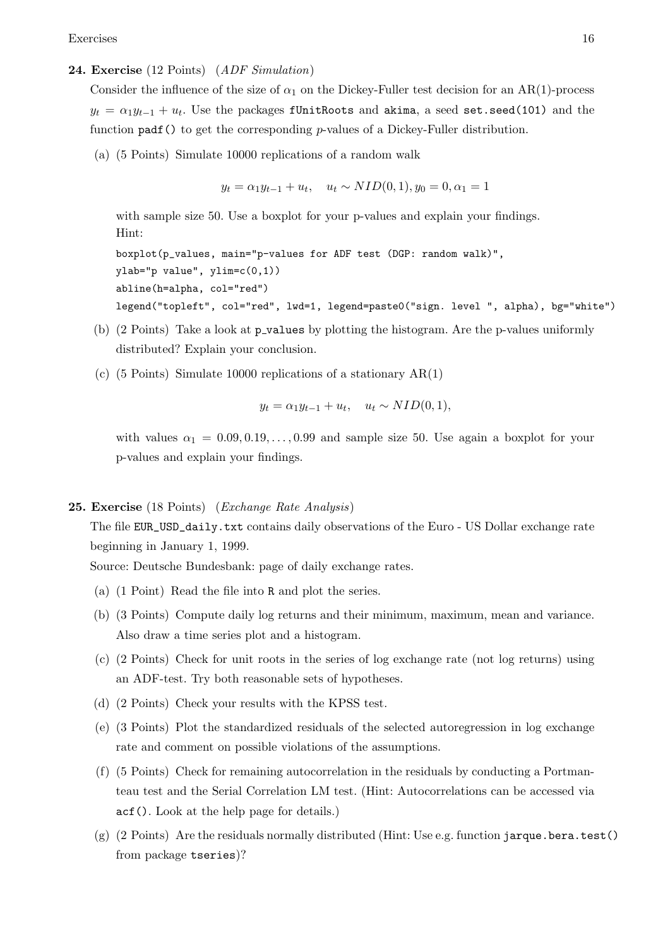#### <span id="page-15-0"></span>24. Exercise (12 Points) (ADF Simulation)

Consider the influence of the size of  $\alpha_1$  on the Dickey-Fuller test decision for an AR(1)-process  $y_t = \alpha_1 y_{t-1} + u_t$ . Use the packages f<code>UnitRoots</code> and akima, a seed set.seed(101) and the function padf() to get the corresponding p-values of a Dickey-Fuller distribution.

(a) (5 Points) Simulate 10000 replications of a random walk

 $y_t = \alpha_1 y_{t-1} + u_t$ ,  $u_t \sim NID(0, 1), y_0 = 0, \alpha_1 = 1$ 

with sample size 50. Use a boxplot for your p-values and explain your findings. Hint:

boxplot(p\_values, main="p-values for ADF test (DGP: random walk)", ylab="p value", ylim=c(0,1)) abline(h=alpha, col="red") legend("topleft", col="red", lwd=1, legend=paste0("sign. level ", alpha), bg="white")

- (b) (2 Points) Take a look at p values by plotting the histogram. Are the p-values uniformly distributed? Explain your conclusion.
- (c) (5 Points) Simulate 10000 replications of a stationary AR(1)

$$
y_t = \alpha_1 y_{t-1} + u_t, \quad u_t \sim NID(0, 1),
$$

with values  $\alpha_1 = 0.09, 0.19, \ldots, 0.99$  and sample size 50. Use again a boxplot for your p-values and explain your findings.

#### <span id="page-15-1"></span>**25. Exercise** (18 Points) (*Exchange Rate Analysis*)

The file EUR\_USD\_daily.txt contains daily observations of the Euro - US Dollar exchange rate beginning in January 1, 1999.

Source: Deutsche Bundesbank: page of daily exchange rates.

- (a) (1 Point) Read the file into R and plot the series.
- (b) (3 Points) Compute daily log returns and their minimum, maximum, mean and variance. Also draw a time series plot and a histogram.
- (c) (2 Points) Check for unit roots in the series of log exchange rate (not log returns) using an ADF-test. Try both reasonable sets of hypotheses.
- (d) (2 Points) Check your results with the KPSS test.
- (e) (3 Points) Plot the standardized residuals of the selected autoregression in log exchange rate and comment on possible violations of the assumptions.
- (f) (5 Points) Check for remaining autocorrelation in the residuals by conducting a Portmanteau test and the Serial Correlation LM test. (Hint: Autocorrelations can be accessed via acf(). Look at the help page for details.)
- $(g)$  (2 Points) Are the residuals normally distributed (Hint: Use e.g. function jarque.bera.test() from package tseries)?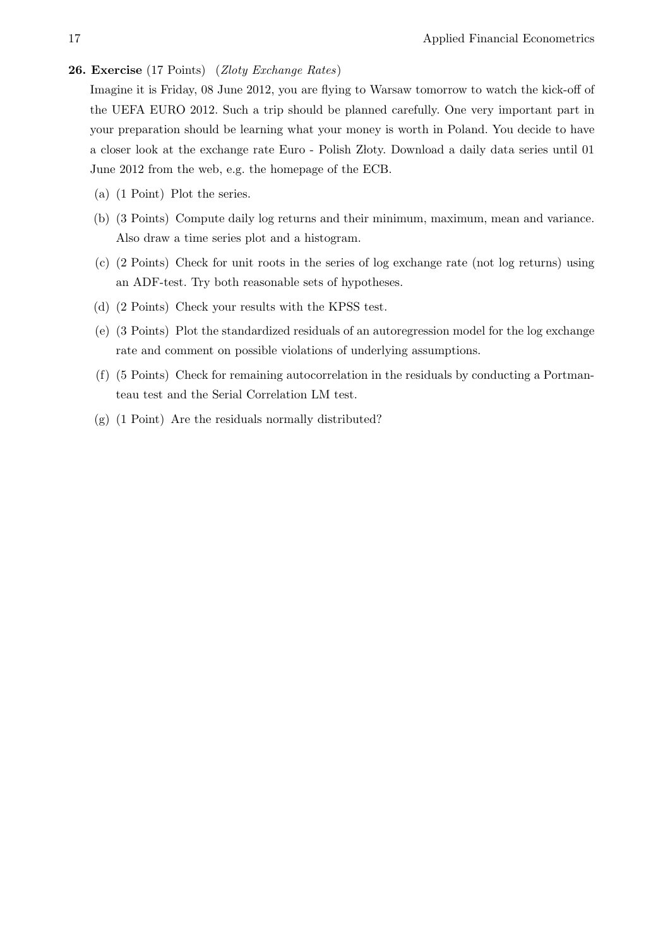#### <span id="page-16-0"></span>26. Exercise (17 Points) (Zloty Exchange Rates)

Imagine it is Friday, 08 June 2012, you are flying to Warsaw tomorrow to watch the kick-off of the UEFA EURO 2012. Such a trip should be planned carefully. One very important part in your preparation should be learning what your money is worth in Poland. You decide to have a closer look at the exchange rate Euro - Polish Złoty. Download a daily data series until 01 June 2012 from the web, e.g. the homepage of the ECB.

- (a) (1 Point) Plot the series.
- (b) (3 Points) Compute daily log returns and their minimum, maximum, mean and variance. Also draw a time series plot and a histogram.
- (c) (2 Points) Check for unit roots in the series of log exchange rate (not log returns) using an ADF-test. Try both reasonable sets of hypotheses.
- (d) (2 Points) Check your results with the KPSS test.
- (e) (3 Points) Plot the standardized residuals of an autoregression model for the log exchange rate and comment on possible violations of underlying assumptions.
- (f) (5 Points) Check for remaining autocorrelation in the residuals by conducting a Portmanteau test and the Serial Correlation LM test.
- (g) (1 Point) Are the residuals normally distributed?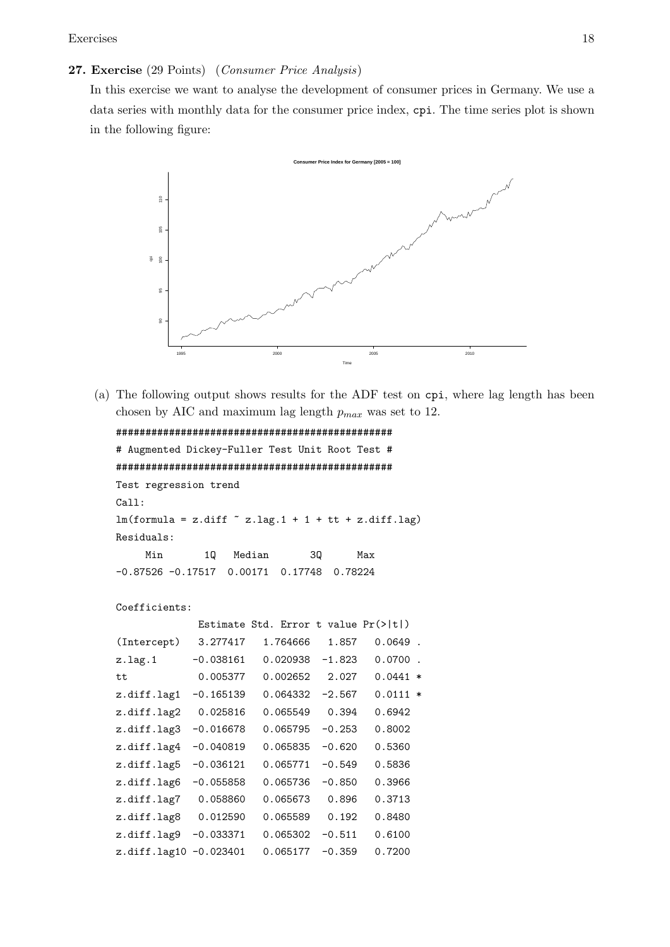# <span id="page-17-0"></span>27. Exercise (29 Points) (Consumer Price Analysis)

In this exercise we want to analyse the development of consumer prices in Germany. We use a data series with monthly data for the consumer price index, cpi. The time series plot is shown in the following figure:



(a) The following output shows results for the ADF test on cpi, where lag length has been chosen by AIC and maximum lag length  $p_{max}$  was set to 12.

```
###############################################
# Augmented Dickey-Fuller Test Unit Root Test #
###############################################
Test regression trend
Call:
lm(formula = z.diff ~ z.lag.1 + 1 + tt + z.diff.lag)Residuals:
    Min 1Q Median 3Q Max
-0.87526 -0.17517 0.00171 0.17748 0.78224
```

```
Coefficients:
```

|              |             | Estimate Std. Error t value Pr(> t ) |          |            |                          |
|--------------|-------------|--------------------------------------|----------|------------|--------------------------|
| (Intercept)  | 3.277417    | 1.764666                             | 1.857    | 0.0649     | $\ddot{\phantom{a}}$     |
| z.lag.1      | $-0.038161$ | 0.020938                             | $-1.823$ | 0.0700     | $\overline{\phantom{a}}$ |
| tt           | 0.005377    | 0.002652                             | 2.027    | $0.0441$ * |                          |
| z.diff.lag1  | $-0.165139$ | 0.064332                             | $-2.567$ | $0.0111 *$ |                          |
| z.diff.lag2  | 0.025816    | 0.065549                             | 0.394    | 0.6942     |                          |
| z.diff.lag3  | $-0.016678$ | 0.065795                             | $-0.253$ | 0.8002     |                          |
| z.diff.lag4  | $-0.040819$ | 0.065835                             | $-0.620$ | 0.5360     |                          |
| z.diff.lag5  | $-0.036121$ | 0.065771                             | $-0.549$ | 0.5836     |                          |
| z.diff.lag6  | $-0.055858$ | 0.065736                             | $-0.850$ | 0.3966     |                          |
| z.diff.lag7  | 0.058860    | 0.065673                             | 0.896    | 0.3713     |                          |
| z.diff.lag8  | 0.012590    | 0.065589                             | 0.192    | 0.8480     |                          |
| z.diff.lag9  | -0.033371   | 0.065302                             | $-0.511$ | 0.6100     |                          |
| z.diff.lag10 | $-0.023401$ | 0.065177                             | $-0.359$ | 0.7200     |                          |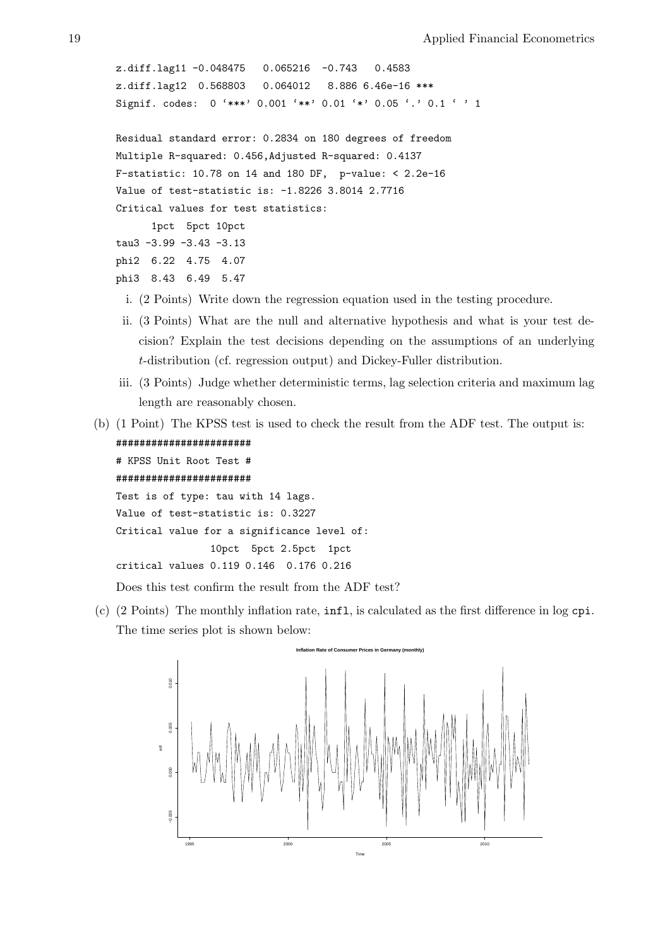```
z.diff.lag11 -0.048475 0.065216 -0.743 0.4583
z.diff.lag12 0.568803 0.064012 8.886 6.46e-16 ***
Signif. codes: 0 '***' 0.001 '**' 0.01 '*' 0.05 '.' 0.1 ' ' 1
Residual standard error: 0.2834 on 180 degrees of freedom
Multiple R-squared: 0.456,Adjusted R-squared: 0.4137
F-statistic: 10.78 on 14 and 180 DF, p-value: < 2.2e-16
Value of test-statistic is: -1.8226 3.8014 2.7716
Critical values for test statistics:
      1pct 5pct 10pct
tau3 -3.99 -3.43 -3.13
phi2 6.22 4.75 4.07
phi3 8.43 6.49 5.47
```
- i. (2 Points) Write down the regression equation used in the testing procedure.
- ii. (3 Points) What are the null and alternative hypothesis and what is your test decision? Explain the test decisions depending on the assumptions of an underlying t-distribution (cf. regression output) and Dickey-Fuller distribution.
- iii. (3 Points) Judge whether deterministic terms, lag selection criteria and maximum lag length are reasonably chosen.
- (b) (1 Point) The KPSS test is used to check the result from the ADF test. The output is: #######################

```
# KPSS Unit Root Test #
#######################
Test is of type: tau with 14 lags.
Value of test-statistic is: 0.3227
Critical value for a significance level of:
                10pct 5pct 2.5pct 1pct
critical values 0.119 0.146 0.176 0.216
```
Does this test confirm the result from the ADF test?

(c) (2 Points) The monthly inflation rate, infl, is calculated as the first difference in log cpi. The time series plot is shown below:

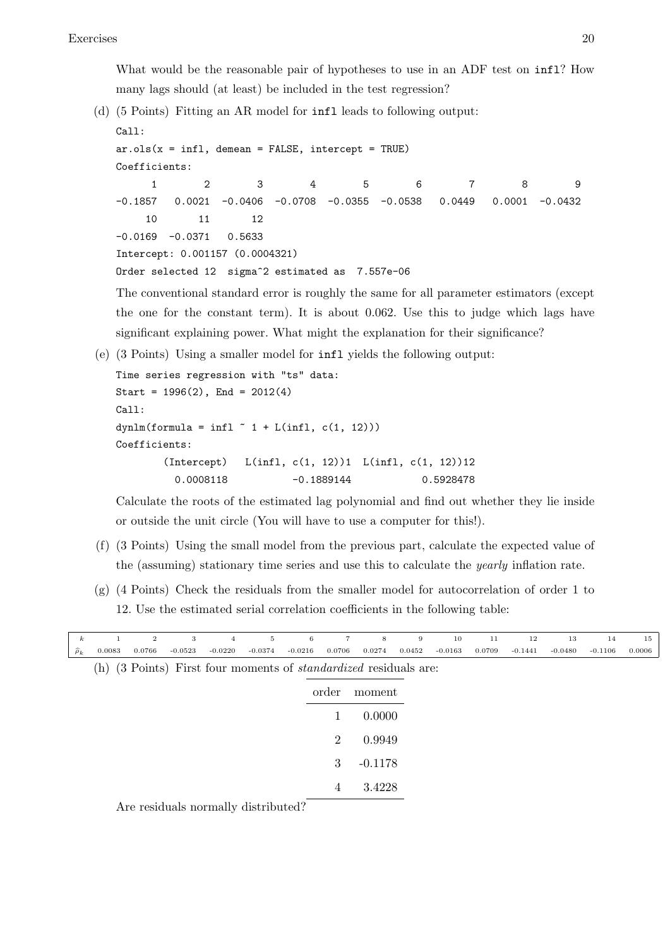What would be the reasonable pair of hypotheses to use in an ADF test on  $\inf 1$ ? How many lags should (at least) be included in the test regression?

(d) (5 Points) Fitting an AR model for infl leads to following output: Call:

```
ar.ols(x = infl, demean = FALSE, intercept = TRUE)Coefficients:
    1 2 3 4 5 6 7 8 9
-0.1857 0.0021 -0.0406 -0.0708 -0.0355 -0.0538 0.0449 0.0001 -0.0432
   10 11 12
-0.0169 -0.0371 0.5633
Intercept: 0.001157 (0.0004321)
Order selected 12 sigma^2 estimated as 7.557e-06
```
The conventional standard error is roughly the same for all parameter estimators (except the one for the constant term). It is about 0.062. Use this to judge which lags have significant explaining power. What might the explanation for their significance?

(e) (3 Points) Using a smaller model for infl yields the following output:

```
Time series regression with "ts" data:
Start = 1996(2), End = 2012(4)Call:
dynlm(formula = infl " 1 + L(int1, c(1, 12)))Coefficients:
       (Intercept) L(infl, c(1, 12))1 L(infl, c(1, 12))12
         0.0008118 -0.1889144 0.5928478
```
Calculate the roots of the estimated lag polynomial and find out whether they lie inside or outside the unit circle (You will have to use a computer for this!).

- (f) (3 Points) Using the small model from the previous part, calculate the expected value of the (assuming) stationary time series and use this to calculate the yearly inflation rate.
- (g) (4 Points) Check the residuals from the smaller model for autocorrelation of order 1 to 12. Use the estimated serial correlation coefficients in the following table:

| $\boldsymbol{k}$   | $\mathbf{1}$ | $\overline{2}$ | 3         | $\overline{4}$                                | 5         | 6         | $\overline{7}$ | 8                                                                       | 9      | 10        | 11     | 12        | 13        | 14        | 15     |
|--------------------|--------------|----------------|-----------|-----------------------------------------------|-----------|-----------|----------------|-------------------------------------------------------------------------|--------|-----------|--------|-----------|-----------|-----------|--------|
| $\widehat{\rho}_k$ | 0.0083       | 0.0766         | $-0.0523$ | $-0.0220$                                     | $-0.0374$ | $-0.0216$ | 0.0706         | 0.0274                                                                  | 0.0452 | $-0.0163$ | 0.0709 | $-0.1441$ | $-0.0480$ | $-0.1106$ | 0.0006 |
|                    |              |                |           |                                               |           |           |                | (h) (3 Points) First four moments of <i>standardized</i> residuals are: |        |           |        |           |           |           |        |
|                    |              |                |           |                                               |           |           | order          | moment                                                                  |        |           |        |           |           |           |        |
|                    |              |                |           |                                               |           |           | 1              | 0.0000                                                                  |        |           |        |           |           |           |        |
|                    |              |                |           |                                               |           |           | $\overline{2}$ | 0.9949                                                                  |        |           |        |           |           |           |        |
|                    |              |                |           |                                               |           |           | 3              | $-0.1178$                                                               |        |           |        |           |           |           |        |
|                    |              |                |           |                                               |           |           | 4              | 3.4228                                                                  |        |           |        |           |           |           |        |
|                    |              |                |           | $\Lambda$ no noviduals nonpeally distributed? |           |           |                |                                                                         |        |           |        |           |           |           |        |

Are residuals normally distributed?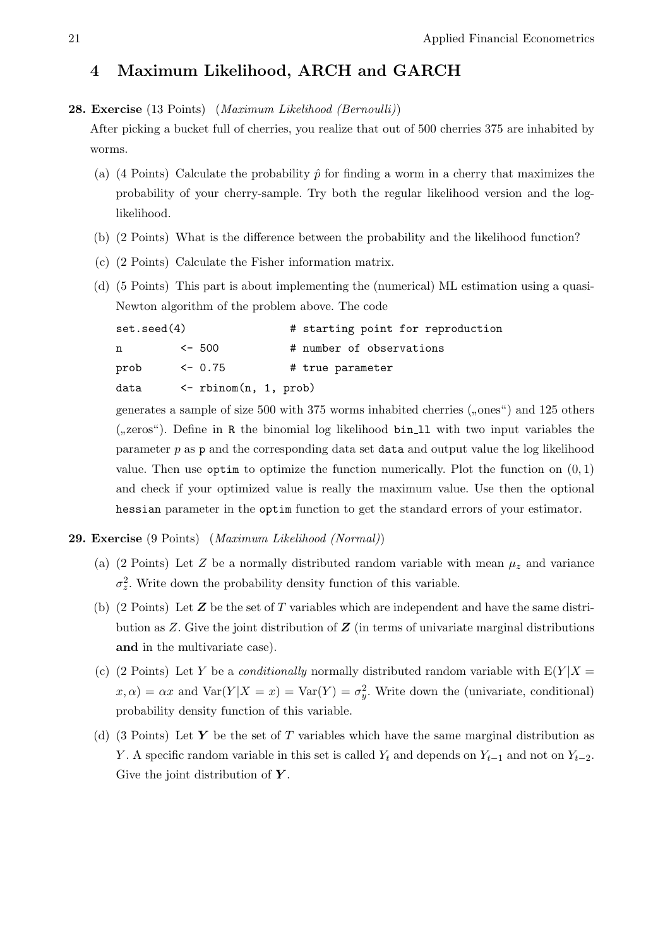# 4 Maximum Likelihood, ARCH and GARCH

#### <span id="page-20-0"></span>28. Exercise (13 Points) (Maximum Likelihood (Bernoulli))

After picking a bucket full of cherries, you realize that out of 500 cherries 375 are inhabited by worms.

- (a) (4 Points) Calculate the probability  $\hat{p}$  for finding a worm in a cherry that maximizes the probability of your cherry-sample. Try both the regular likelihood version and the loglikelihood.
- (b) (2 Points) What is the difference between the probability and the likelihood function?
- (c) (2 Points) Calculate the Fisher information matrix.
- (d) (5 Points) This part is about implementing the (numerical) ML estimation using a quasi-Newton algorithm of the problem above. The code

| set.seed(4) |                                    | # starting point for reproduction |
|-------------|------------------------------------|-----------------------------------|
| n           | $<-500$                            | # number of observations          |
| prob        | $\leq -0.75$                       | # true parameter                  |
| data        | $\leftarrow$ rbinom $(n, 1, prob)$ |                                   |

generates a sample of size 500 with 375 worms inhabited cherries ("ones") and 125 others  $($ "zeros"). Define in R the binomial log likelihood bin 11 with two input variables the parameter  $p$  as p and the corresponding data set data and output value the log likelihood value. Then use optim to optimize the function numerically. Plot the function on  $(0, 1)$ and check if your optimized value is really the maximum value. Use then the optional hessian parameter in the optim function to get the standard errors of your estimator.

## <span id="page-20-1"></span>29. Exercise (9 Points) (Maximum Likelihood (Normal))

- (a) (2 Points) Let Z be a normally distributed random variable with mean  $\mu_z$  and variance  $\sigma_z^2$ . Write down the probability density function of this variable.
- (b) (2 Points) Let  $\boldsymbol{Z}$  be the set of  $T$  variables which are independent and have the same distribution as  $Z$ . Give the joint distribution of  $Z$  (in terms of univariate marginal distributions and in the multivariate case).
- (c) (2 Points) Let Y be a *conditionally* normally distributed random variable with  $E(Y|X =$  $x, \alpha$  =  $\alpha x$  and Var(Y|X = x) = Var(Y) =  $\sigma_y^2$ . Write down the (univariate, conditional) probability density function of this variable.
- (d) (3 Points) Let Y be the set of T variables which have the same marginal distribution as Y. A specific random variable in this set is called  $Y_t$  and depends on  $Y_{t-1}$  and not on  $Y_{t-2}$ . Give the joint distribution of  $Y$ .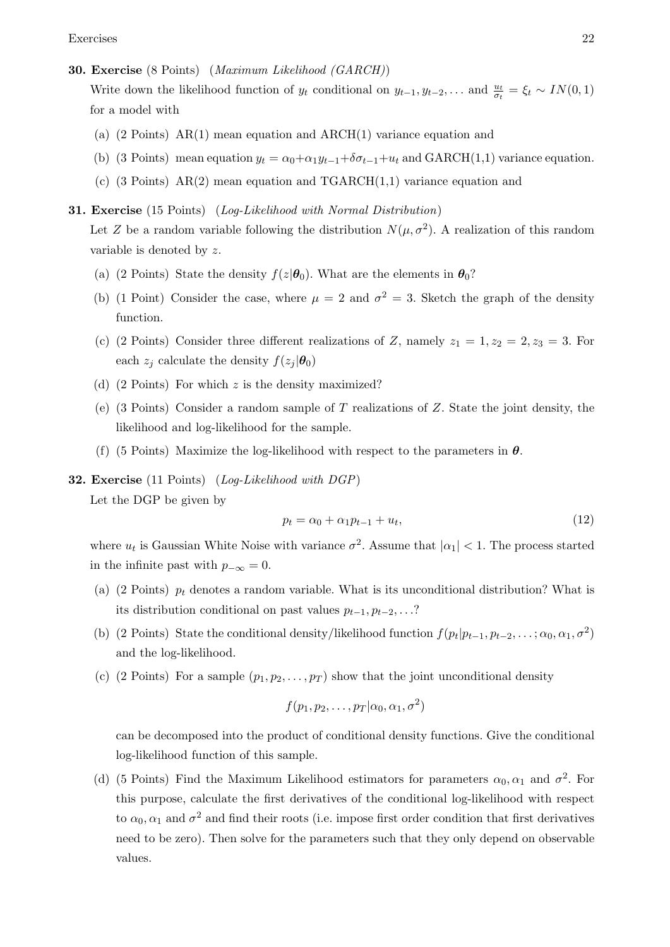#### <span id="page-21-0"></span>30. Exercise (8 Points) (Maximum Likelihood (GARCH))

Write down the likelihood function of  $y_t$  conditional on  $y_{t-1}, y_{t-2}, \ldots$  and  $\frac{u_t}{\sigma_t} = \xi_t \sim IN(0, 1)$ for a model with

- (a)  $(2 \text{ Points})$  AR $(1)$  mean equation and ARCH $(1)$  variance equation and
- (b) (3 Points) mean equation  $y_t = \alpha_0 + \alpha_1 y_{t-1} + \delta \sigma_{t-1} + u_t$  and GARCH(1,1) variance equation.
- (c) (3 Points)  $AR(2)$  mean equation and TGARCH $(1,1)$  variance equation and

# <span id="page-21-1"></span>31. Exercise (15 Points) (Log-Likelihood with Normal Distribution)

Let Z be a random variable following the distribution  $N(\mu, \sigma^2)$ . A realization of this random variable is denoted by z.

- (a) (2 Points) State the density  $f(z|\theta_0)$ . What are the elements in  $\theta_0$ ?
- (b) (1 Point) Consider the case, where  $\mu = 2$  and  $\sigma^2 = 3$ . Sketch the graph of the density function.
- (c) (2 Points) Consider three different realizations of Z, namely  $z_1 = 1, z_2 = 2, z_3 = 3$ . For each  $z_j$  calculate the density  $f(z_j | \theta_0)$
- (d)  $(2 \text{ Points})$  For which z is the density maximized?
- (e) (3 Points) Consider a random sample of T realizations of  $Z$ . State the joint density, the likelihood and log-likelihood for the sample.
- (f) (5 Points) Maximize the log-likelihood with respect to the parameters in  $\theta$ .
- <span id="page-21-2"></span>32. Exercise (11 Points) (Log-Likelihood with DGP)

Let the DGP be given by

$$
p_t = \alpha_0 + \alpha_1 p_{t-1} + u_t,\tag{12}
$$

where  $u_t$  is Gaussian White Noise with variance  $\sigma^2$ . Assume that  $|\alpha_1|$  < 1. The process started in the infinite past with  $p_{-\infty} = 0$ .

- (a) (2 Points)  $p_t$  denotes a random variable. What is its unconditional distribution? What is its distribution conditional on past values  $p_{t-1}, p_{t-2}, \ldots$ ?
- (b) (2 Points) State the conditional density/likelihood function  $f(p_t|p_{t-1}, p_{t-2}, \ldots; \alpha_0, \alpha_1, \sigma^2)$ and the log-likelihood.
- (c) (2 Points) For a sample  $(p_1, p_2, \ldots, p_T)$  show that the joint unconditional density

$$
f(p_1, p_2, \ldots, p_T | \alpha_0, \alpha_1, \sigma^2)
$$

can be decomposed into the product of conditional density functions. Give the conditional log-likelihood function of this sample.

(d) (5 Points) Find the Maximum Likelihood estimators for parameters  $\alpha_0, \alpha_1$  and  $\sigma^2$ . For this purpose, calculate the first derivatives of the conditional log-likelihood with respect to  $\alpha_0, \alpha_1$  and  $\sigma^2$  and find their roots (i.e. impose first order condition that first derivatives need to be zero). Then solve for the parameters such that they only depend on observable values.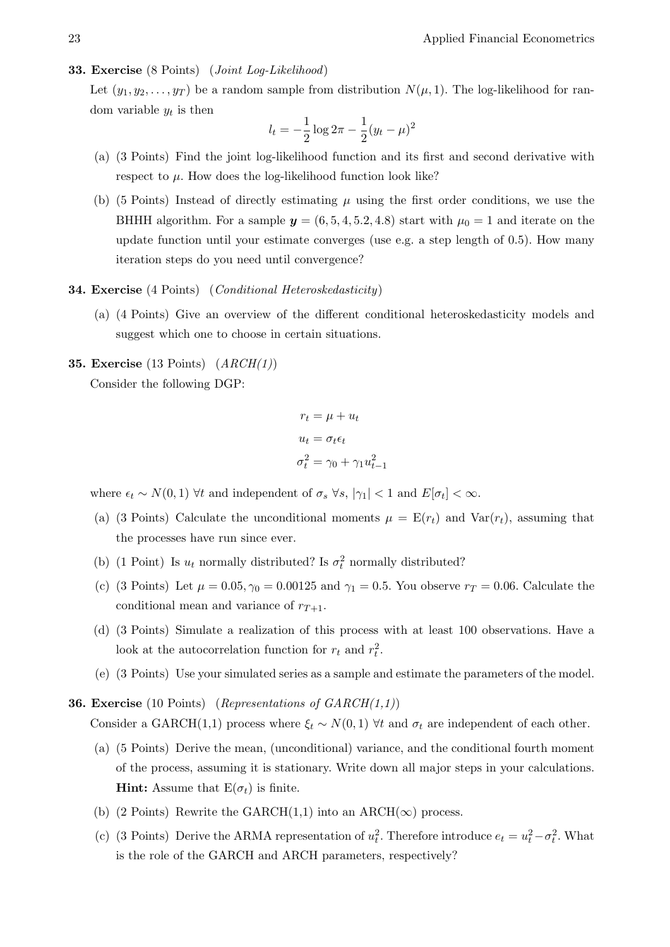## <span id="page-22-0"></span>33. Exercise (8 Points) (Joint Log-Likelihood)

Let  $(y_1, y_2, \ldots, y_T)$  be a random sample from distribution  $N(\mu, 1)$ . The log-likelihood for random variable  $y_t$  is then

$$
l_t = -\frac{1}{2}\log 2\pi - \frac{1}{2}(y_t - \mu)^2
$$

- (a) (3 Points) Find the joint log-likelihood function and its first and second derivative with respect to  $\mu$ . How does the log-likelihood function look like?
- (b) (5 Points) Instead of directly estimating  $\mu$  using the first order conditions, we use the BHHH algorithm. For a sample  $y = (6, 5, 4, 5.2, 4.8)$  start with  $\mu_0 = 1$  and iterate on the update function until your estimate converges (use e.g. a step length of 0.5). How many iteration steps do you need until convergence?

## <span id="page-22-1"></span>**34. Exercise** (4 Points) (*Conditional Heteroskedasticity*)

(a) (4 Points) Give an overview of the different conditional heteroskedasticity models and suggest which one to choose in certain situations.

## <span id="page-22-2"></span>**35. Exercise** (13 Points)  $(ARCH(1))$

Consider the following DGP:

$$
r_t = \mu + u_t
$$

$$
u_t = \sigma_t \epsilon_t
$$

$$
\sigma_t^2 = \gamma_0 + \gamma_1 u_{t-1}^2
$$

where  $\epsilon_t \sim N(0, 1)$   $\forall t$  and independent of  $\sigma_s \ \forall s, |\gamma_1| < 1$  and  $E[\sigma_t] < \infty$ .

- (a) (3 Points) Calculate the unconditional moments  $\mu = \mathbf{E}(r_t)$  and  $\text{Var}(r_t)$ , assuming that the processes have run since ever.
- (b) (1 Point) Is  $u_t$  normally distributed? Is  $\sigma_t^2$  normally distributed?
- (c) (3 Points) Let  $\mu = 0.05$ ,  $\gamma_0 = 0.00125$  and  $\gamma_1 = 0.5$ . You observe  $r_T = 0.06$ . Calculate the conditional mean and variance of  $r_{T+1}$ .
- (d) (3 Points) Simulate a realization of this process with at least 100 observations. Have a look at the autocorrelation function for  $r_t$  and  $r_t^2$ .
- (e) (3 Points) Use your simulated series as a sample and estimate the parameters of the model.

<span id="page-22-3"></span>**36. Exercise** (10 Points) (Representations of  $GARCH(1,1)$ ) Consider a GARCH(1,1) process where  $\xi_t \sim N(0, 1)$   $\forall t$  and  $\sigma_t$  are independent of each other.

- (a) (5 Points) Derive the mean, (unconditional) variance, and the conditional fourth moment of the process, assuming it is stationary. Write down all major steps in your calculations. **Hint:** Assume that  $E(\sigma_t)$  is finite.
- (b) (2 Points) Rewrite the GARCH(1,1) into an ARCH( $\infty$ ) process.
- (c) (3 Points) Derive the ARMA representation of  $u_t^2$ . Therefore introduce  $e_t = u_t^2 \sigma_t^2$ . What is the role of the GARCH and ARCH parameters, respectively?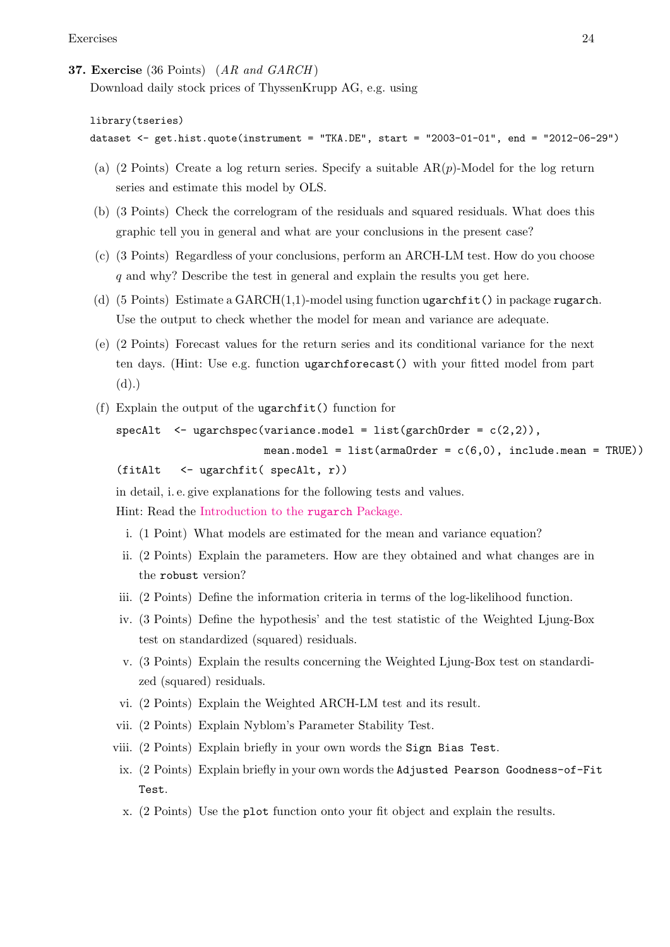# <span id="page-23-0"></span>37. Exercise (36 Points)  $(AR \text{ and } GARCH)$

Download daily stock prices of ThyssenKrupp AG, e.g. using

```
library(tseries)
```

```
dataset <- get.hist.quote(instrument = "TKA.DE", start = "2003-01-01", end = "2012-06-29")
```
- (a) (2 Points) Create a log return series. Specify a suitable  $AR(p)$ -Model for the log return series and estimate this model by OLS.
- (b) (3 Points) Check the correlogram of the residuals and squared residuals. What does this graphic tell you in general and what are your conclusions in the present case?
- (c) (3 Points) Regardless of your conclusions, perform an ARCH-LM test. How do you choose q and why? Describe the test in general and explain the results you get here.
- (d)  $(5 \text{ Points})$  Estimate a GARCH $(1,1)$ -model using function ugarchfit() in package rugarch. Use the output to check whether the model for mean and variance are adequate.
- (e) (2 Points) Forecast values for the return series and its conditional variance for the next ten days. (Hint: Use e.g. function ugarchforecast() with your fitted model from part (d).)
- (f) Explain the output of the ugarchfit() function for

```
spect1 < - \text{ugarchspec}(\text{variance}.\text{model} = \text{list}(\text{garchOrder} = c(2,2)),
```

```
mean.model = list(arma0rder = c(6,0), include.mean = TRUE))
(fitAlt <- ugarchfit( specAlt, r))
```
in detail, i. e. give explanations for the following tests and values.

Hint: Read the [Introduction to the](http://cran.r-project.org/web/packages/rugarch/vignettes/Introduction_to_the_rugarch_package.pdf ) rugarch Package.

- i. (1 Point) What models are estimated for the mean and variance equation?
- ii. (2 Points) Explain the parameters. How are they obtained and what changes are in the robust version?
- iii. (2 Points) Define the information criteria in terms of the log-likelihood function.
- iv. (3 Points) Define the hypothesis' and the test statistic of the Weighted Ljung-Box test on standardized (squared) residuals.
- v. (3 Points) Explain the results concerning the Weighted Ljung-Box test on standardized (squared) residuals.
- vi. (2 Points) Explain the Weighted ARCH-LM test and its result.
- vii. (2 Points) Explain Nyblom's Parameter Stability Test.
- viii. (2 Points) Explain briefly in your own words the Sign Bias Test.
- ix. (2 Points) Explain briefly in your own words the Adjusted Pearson Goodness-of-Fit Test.
- x. (2 Points) Use the plot function onto your fit object and explain the results.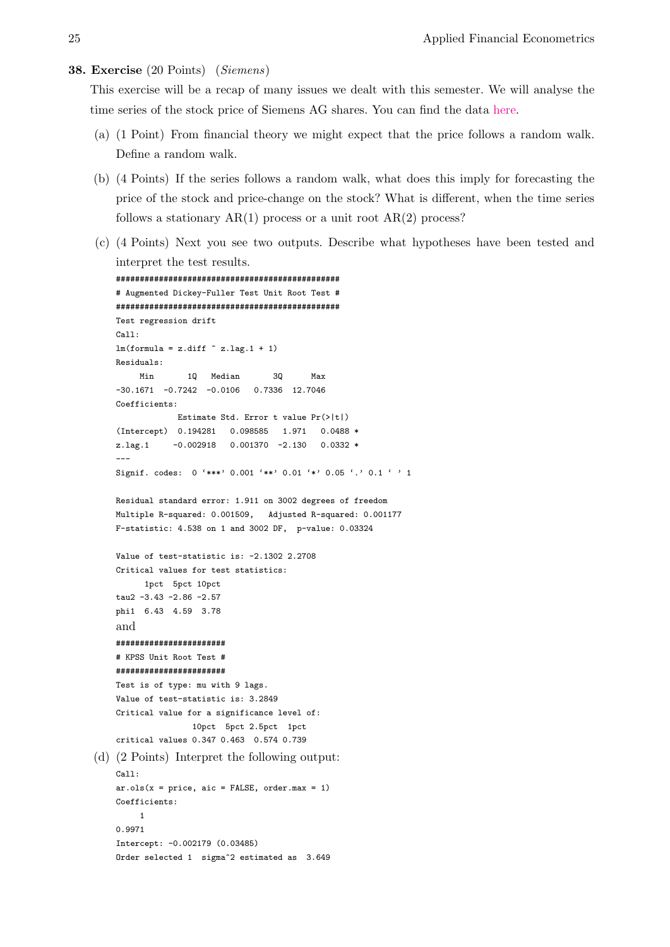#### <span id="page-24-0"></span>38. Exercise (20 Points) (Siemens)

This exercise will be a recap of many issues we dealt with this semester. We will analyse the time series of the stock price of Siemens AG shares. You can find the data [here.](http://www-wiwi.uni-regensburg.de/images/institute/vwl/tschernig/lehre/aoe_siemens.txt)

- (a) (1 Point) From financial theory we might expect that the price follows a random walk. Define a random walk.
- (b) (4 Points) If the series follows a random walk, what does this imply for forecasting the price of the stock and price-change on the stock? What is different, when the time series follows a stationary  $AR(1)$  process or a unit root  $AR(2)$  process?
- (c) (4 Points) Next you see two outputs. Describe what hypotheses have been tested and interpret the test results.

```
###############################################
    # Augmented Dickey-Fuller Test Unit Root Test #
    ###############################################
    Test regression drift
    Call:
    \texttt{lm}(\texttt{formula = z.diff } \verb|z.lag.1 + 1|)Residuals:
         Min 1Q Median 3Q Max
    -30.1671 -0.7242 -0.0106 0.7336 12.7046
    Coefficients:
                 Estimate Std. Error t value Pr(>|t|)
    (Intercept) 0.194281 0.098585 1.971 0.0488 *
    z.lag.1 -0.002918 0.001370 -2.130 0.0332 *
    ---
    Signif. codes: 0 '***' 0.001 '**' 0.01 '*' 0.05 '.' 0.1 ' ' 1
    Residual standard error: 1.911 on 3002 degrees of freedom
    Multiple R-squared: 0.001509, Adjusted R-squared: 0.001177
    F-statistic: 4.538 on 1 and 3002 DF, p-value: 0.03324
    Value of test-statistic is: -2.1302 2.2708
    Critical values for test statistics:
          1pct 5pct 10pct
    tau2 -3.43 -2.86 -2.57
    phi1 6.43 4.59 3.78
    and
    #######################
    # KPSS Unit Root Test #
    #######################
    Test is of type: mu with 9 lags.
    Value of test-statistic is: 3.2849
    Critical value for a significance level of:
                    10pct 5pct 2.5pct 1pct
    critical values 0.347 0.463 0.574 0.739
(d) (2 Points) Interpret the following output:
    Call:
    ar.ols(x = price, aic = FALSE, order.max = 1)Coefficients:
         1
    0.9971
    Intercept: -0.002179 (0.03485)
    Order selected 1 sigma<sup>2</sup> estimated as 3.649
```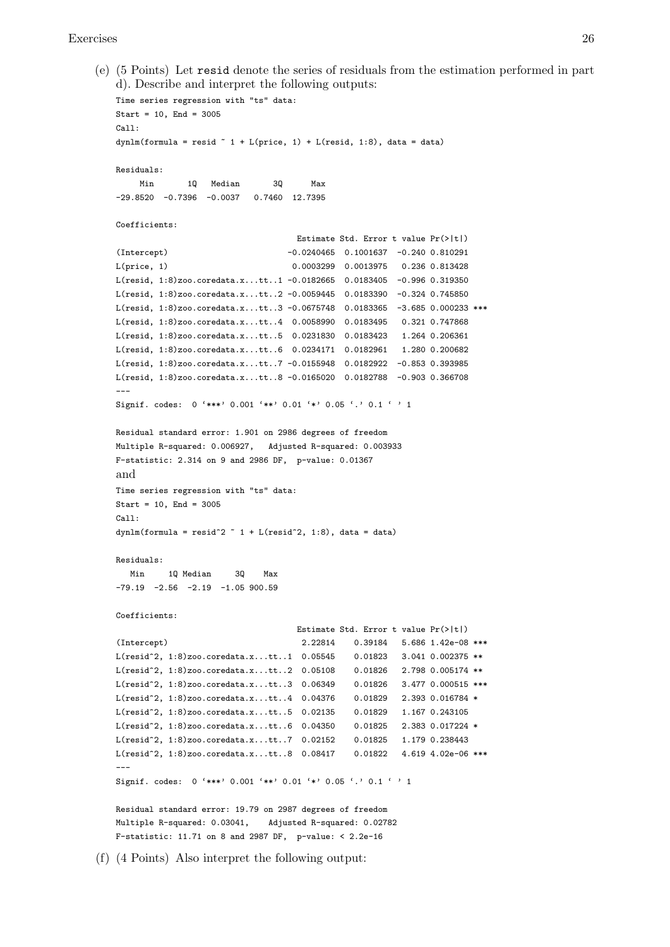#### Exercises 26

(e) (5 Points) Let resid denote the series of residuals from the estimation performed in part d). Describe and interpret the following outputs:

```
Time series regression with "ts" data:
Start = 10, End = 3005C<sub>2</sub>11.
dynlm(formula = resid ~ 1 + L(price, 1) + L(resid, 1:8), data = data)Residuals:
    Min 1Q Median 3Q Max
-29.8520 -0.7396 -0.0037 0.7460 12.7395
Coefficients:
                                    Estimate Std. Error t value Pr(>|t|)
(Intercept) -0.0240465 0.1001637 -0.240 0.810291
L(price, 1) 0.0003299 0.0013975 0.236 0.813428
L(resid, 1:8)zoo.coredata.x...tt..1 -0.0182665 0.0183405 -0.996 0.319350
L(resid, 1:8)zoo.coredata.x...tt..2 -0.0059445 0.0183390 -0.324 0.745850
L(resid, 1:8)zoo.coredata.x...tt..3 -0.0675748 0.0183365 -3.685 0.000233 ***
L(resid, 1:8)zoo.coredata.x...tt..4 0.0058990 0.0183495 0.321 0.747868
L(resid, 1:8)zoo.coredata.x...tt..5 0.0231830 0.0183423 1.264 0.206361
L(resid, 1:8)zoo.coredata.x...tt..6 0.0234171 0.0182961 1.280 0.200682
L(resid, 1:8)zoo.coredata.x...tt..7 -0.0155948 0.0182922 -0.853 0.393985
L(resid, 1:8)zoo.coredata.x...tt..8 -0.0165020 0.0182788 -0.903 0.366708
---
Signif. codes: 0 '***' 0.001 '**' 0.01 '*' 0.05 '.' 0.1 ' ' 1
Residual standard error: 1.901 on 2986 degrees of freedom
Multiple R-squared: 0.006927, Adjusted R-squared: 0.003933
F-statistic: 2.314 on 9 and 2986 DF, p-value: 0.01367
and
Time series regression with "ts" data:
Start = 10, End = 3005C_{211}dynlm(formula = resid^2 \tilde{ } 1 + L(resid^2, 1:8), data = data)
Residuals:
   Min 1Q Median 3Q Max
-79.19 -2.56 -2.19 -1.05 900.59Coefficients:
                                    Estimate Std. Error t value Pr(>|t|)
(Intercept) 2.22814 0.39184 5.686 1.42e-08 ***
L(resid^2, 1:8)zoo.coredata.x...tt..1 0.05545 0.01823 3.041 0.002375 **
L(resid^2, 1:8)zoo.coredata.x...tt..2 0.05108 0.01826 2.798 0.005174 **
L(resid<sup>-2</sup>, 1:8)zoo.coredata.x...tt..3 0.06349 0.01826 3.477 0.000515 ***
L(resid^2, 1:8)zoo.coredata.x...tt..4 0.04376 0.01829 2.393 0.016784 *
L(resid<sup>2</sup>, 1:8)zoo.coredata.x...tt..5 0.02135 0.01829 1.167 0.243105
L(resid^2, 1:8)zoo.coredata.x...tt..6 0.04350 0.01825 2.383 0.017224 *
L(resid^2, 1:8)zoo.coredata.x...tt..7 0.02152 0.01825 1.179 0.238443
L(resid^2, 1:8)zoo.coredata.x...tt..8 0.08417 0.01822 4.619 4.02e-06 ***
---
Signif. codes: 0 '***' 0.001 '**' 0.01 '*' 0.05 '.' 0.1 ' ' 1
Residual standard error: 19.79 on 2987 degrees of freedom
Multiple R-squared: 0.03041, Adjusted R-squared: 0.02782
F-statistic: 11.71 on 8 and 2987 DF, p-value: < 2.2e-16
```
(f) (4 Points) Also interpret the following output: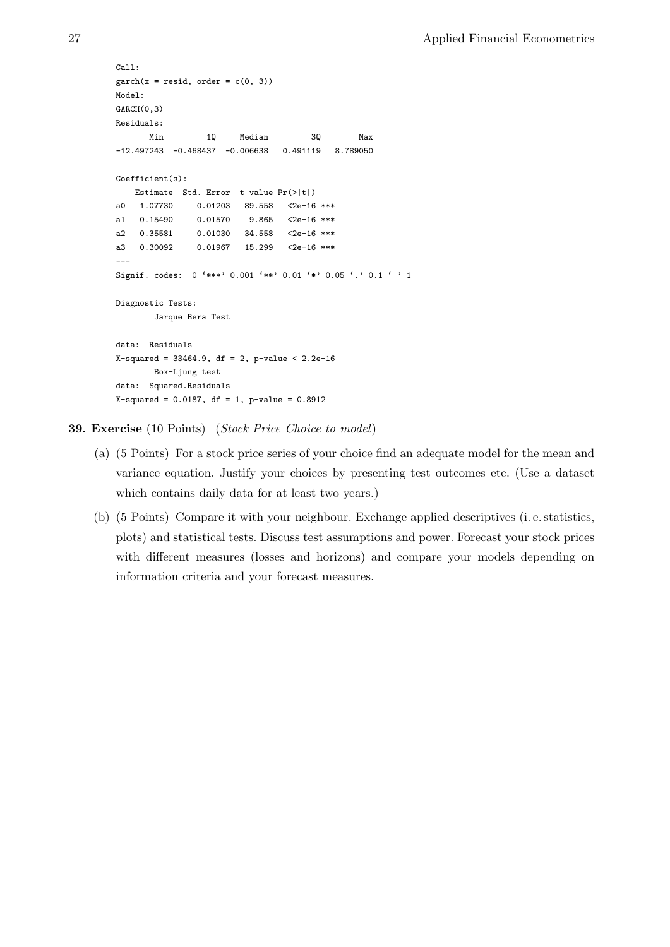```
Call:
\text{garch}(x = \text{resid}, \text{ order} = c(0, 3))Model:
GARCH(0,3)
Residuals:
    Min 1Q Median 3Q Max
-12.497243 -0.468437 -0.006638 0.491119 8.789050
Coefficient(s):
  Estimate Std. Error t value Pr(>|t|)
a0 1.07730 0.01203 89.558 <2e-16 ***
a1 0.15490 0.01570 9.865 \leq 2e-16 ***
a2 0.35581 0.01030 34.558 <2e-16 ***
a3 0.30092 0.01967 15.299 <2e-16 ***
---Signif. codes: 0 '***' 0.001 '**' 0.01 '*' 0.05 '.' 0.1 ' ' 1
Diagnostic Tests:
       Jarque Bera Test
data: Residuals
X-squared = 33464.9, df = 2, p-value < 2.2e-16
       Box-Ljung test
data: Squared.Residuals
X-squared = 0.0187, df = 1, p-value = 0.8912
```
<span id="page-26-0"></span>39. Exercise (10 Points) (Stock Price Choice to model)

- (a) (5 Points) For a stock price series of your choice find an adequate model for the mean and variance equation. Justify your choices by presenting test outcomes etc. (Use a dataset which contains daily data for at least two years.)
- (b) (5 Points) Compare it with your neighbour. Exchange applied descriptives (i. e. statistics, plots) and statistical tests. Discuss test assumptions and power. Forecast your stock prices with different measures (losses and horizons) and compare your models depending on information criteria and your forecast measures.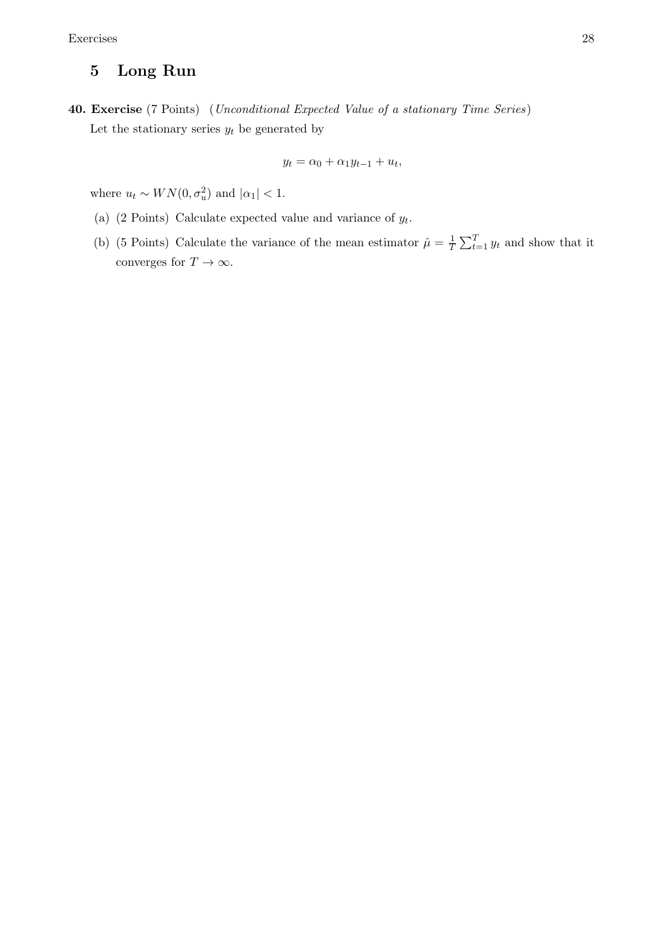# 5 Long Run

<span id="page-27-0"></span>40. Exercise (7 Points) (Unconditional Expected Value of a stationary Time Series) Let the stationary series  $y_t$  be generated by

$$
y_t = \alpha_0 + \alpha_1 y_{t-1} + u_t,
$$

where  $u_t \sim WN(0, \sigma_u^2)$  and  $|\alpha_1| < 1$ .

- (a) (2 Points) Calculate expected value and variance of  $y_t$ .
- (b) (5 Points) Calculate the variance of the mean estimator  $\hat{\mu} = \frac{1}{7}$  $\frac{1}{T} \sum_{t=1}^{T} y_t$  and show that it converges for  $T\to\infty.$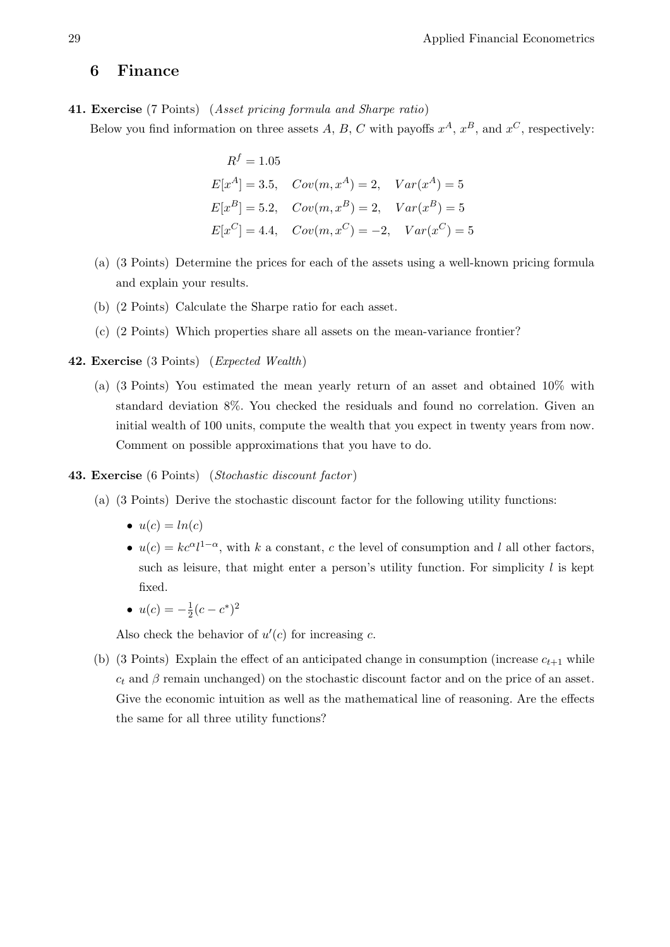# 6 Finance

<span id="page-28-0"></span>41. Exercise (7 Points) (Asset pricing formula and Sharpe ratio) Below you find information on three assets A, B, C with payoffs  $x^A$ ,  $x^B$ , and  $x^C$ , respectively:

$$
R^{f} = 1.05
$$
  
\n
$$
E[x^{A}] = 3.5, Cov(m, x^{A}) = 2, Var(x^{A}) = 5
$$
  
\n
$$
E[x^{B}] = 5.2, Cov(m, x^{B}) = 2, Var(x^{B}) = 5
$$
  
\n
$$
E[x^{C}] = 4.4, Cov(m, x^{C}) = -2, Var(x^{C}) = 5
$$

- (a) (3 Points) Determine the prices for each of the assets using a well-known pricing formula and explain your results.
- (b) (2 Points) Calculate the Sharpe ratio for each asset.
- (c) (2 Points) Which properties share all assets on the mean-variance frontier?

## <span id="page-28-1"></span>42. Exercise (3 Points) (Expected Wealth)

(a) (3 Points) You estimated the mean yearly return of an asset and obtained 10% with standard deviation 8%. You checked the residuals and found no correlation. Given an initial wealth of 100 units, compute the wealth that you expect in twenty years from now. Comment on possible approximations that you have to do.

## <span id="page-28-2"></span>43. Exercise (6 Points) (Stochastic discount factor )

- (a) (3 Points) Derive the stochastic discount factor for the following utility functions:
	- $u(c) = ln(c)$
	- $u(c) = kc^{\alpha}l^{1-\alpha}$ , with k a constant, c the level of consumption and l all other factors, such as leisure, that might enter a person's utility function. For simplicity  $l$  is kept fixed.
	- $u(c) = -\frac{1}{2}$  $\frac{1}{2}(c-c^*)^2$

Also check the behavior of  $u'(c)$  for increasing c.

(b) (3 Points) Explain the effect of an anticipated change in consumption (increase  $c_{t+1}$  while  $c_t$  and  $\beta$  remain unchanged) on the stochastic discount factor and on the price of an asset. Give the economic intuition as well as the mathematical line of reasoning. Are the effects the same for all three utility functions?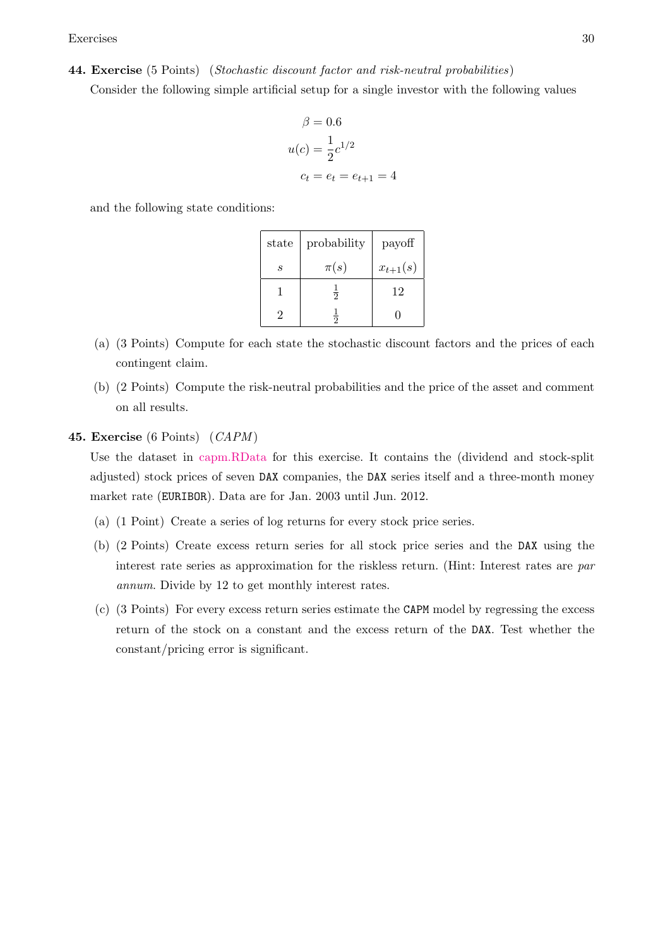Exercises 30

<span id="page-29-0"></span>44. Exercise (5 Points) (Stochastic discount factor and risk-neutral probabilities)

Consider the following simple artificial setup for a single investor with the following values

$$
\beta = 0.6
$$
  

$$
u(c) = \frac{1}{2}c^{1/2}
$$
  

$$
c_t = e_t = e_{t+1} = 4
$$

and the following state conditions:

| state | probability    | payoff       |
|-------|----------------|--------------|
| S     | $\pi(s)$       | $x_{t+1}(s)$ |
|       | $\overline{2}$ | 12           |
|       | う              |              |

- (a) (3 Points) Compute for each state the stochastic discount factors and the prices of each contingent claim.
- (b) (2 Points) Compute the risk-neutral probabilities and the price of the asset and comment on all results.
- <span id="page-29-1"></span>45. Exercise (6 Points) (CAPM)

Use the dataset in [capm.RData](http://www-wiwi.uni-regensburg.de/images/institute/vwl/tschernig/lehre/aoe_capm_data.rdata) for this exercise. It contains the (dividend and stock-split adjusted) stock prices of seven DAX companies, the DAX series itself and a three-month money market rate (EURIBOR). Data are for Jan. 2003 until Jun. 2012.

- (a) (1 Point) Create a series of log returns for every stock price series.
- (b) (2 Points) Create excess return series for all stock price series and the DAX using the interest rate series as approximation for the riskless return. (Hint: Interest rates are par annum. Divide by 12 to get monthly interest rates.
- (c) (3 Points) For every excess return series estimate the CAPM model by regressing the excess return of the stock on a constant and the excess return of the DAX. Test whether the constant/pricing error is significant.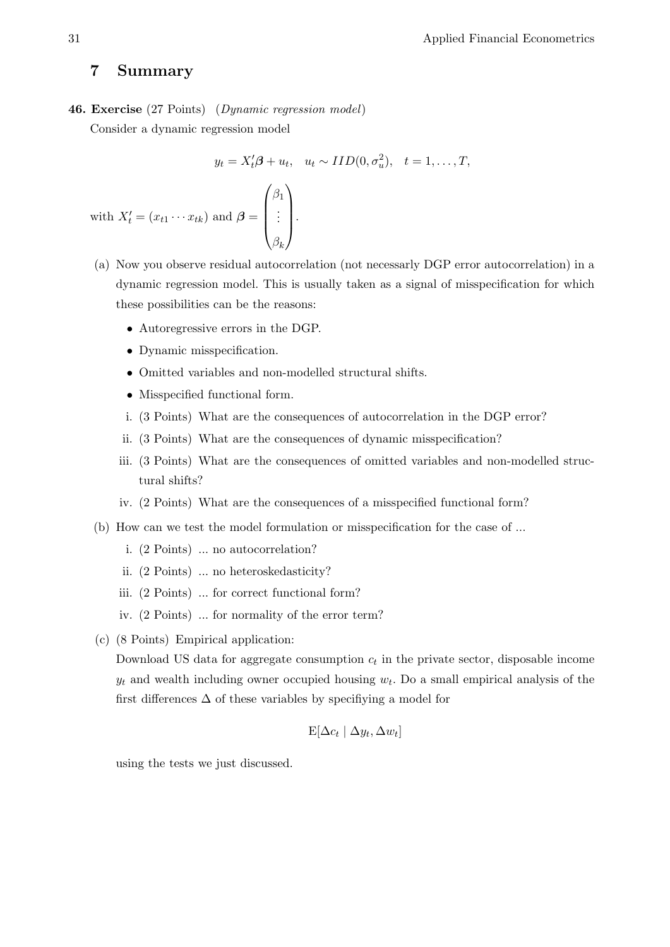# 7 Summary

<span id="page-30-0"></span>46. Exercise (27 Points) (Dynamic regression model)

Consider a dynamic regression model

$$
y_t = X_t'\boldsymbol{\beta} + u_t, \quad u_t \sim IID(0, \sigma_u^2), \quad t = 1, \dots, T,
$$
  
with 
$$
X_t' = (x_{t1} \cdots x_{tk}) \text{ and } \boldsymbol{\beta} = \begin{pmatrix} \beta_1 \\ \vdots \\ \beta_n \end{pmatrix}.
$$

- (a) Now you observe residual autocorrelation (not necessarly DGP error autocorrelation) in a dynamic regression model. This is usually taken as a signal of misspecification for which these possibilities can be the reasons:
	- Autoregressive errors in the DGP.
	- Dynamic misspecification.
	- Omitted variables and non-modelled structural shifts.

 $\beta_k$ 

- Misspecified functional form.
- i. (3 Points) What are the consequences of autocorrelation in the DGP error?
- ii. (3 Points) What are the consequences of dynamic misspecification?
- iii. (3 Points) What are the consequences of omitted variables and non-modelled structural shifts?
- iv. (2 Points) What are the consequences of a misspecified functional form?
- (b) How can we test the model formulation or misspecification for the case of ...
	- i. (2 Points) ... no autocorrelation?
	- ii. (2 Points) ... no heteroskedasticity?
	- iii. (2 Points) ... for correct functional form?
	- iv. (2 Points) ... for normality of the error term?
- (c) (8 Points) Empirical application:

Download US data for aggregate consumption  $c_t$  in the private sector, disposable income  $y_t$  and wealth including owner occupied housing  $w_t$ . Do a small empirical analysis of the first differences  $\Delta$  of these variables by specifiying a model for

$$
E[\Delta c_t | \Delta y_t, \Delta w_t]
$$

using the tests we just discussed.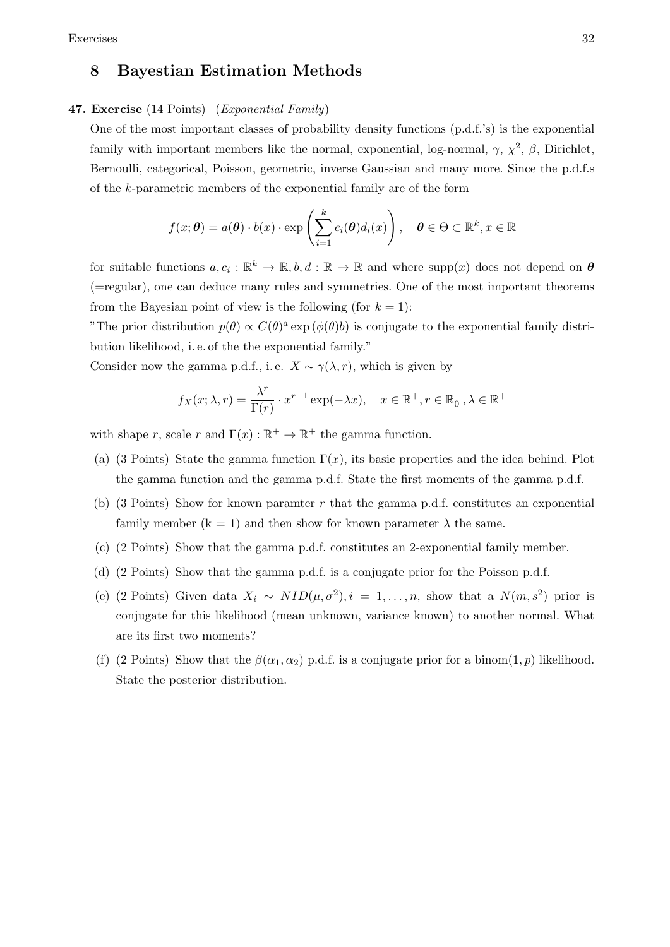# 8 Bayestian Estimation Methods

## <span id="page-31-0"></span>47. Exercise (14 Points) (Exponential Family)

One of the most important classes of probability density functions (p.d.f.'s) is the exponential family with important members like the normal, exponential, log-normal,  $\gamma$ ,  $\chi^2$ ,  $\beta$ , Dirichlet, Bernoulli, categorical, Poisson, geometric, inverse Gaussian and many more. Since the p.d.f.s of the k-parametric members of the exponential family are of the form

$$
f(x; \theta) = a(\theta) \cdot b(x) \cdot \exp\left(\sum_{i=1}^{k} c_i(\theta) d_i(x)\right), \quad \theta \in \Theta \subset \mathbb{R}^k, x \in \mathbb{R}
$$

for suitable functions  $a, c_i : \mathbb{R}^k \to \mathbb{R}, b, d : \mathbb{R} \to \mathbb{R}$  and where  $\text{supp}(x)$  does not depend on  $\theta$ (=regular), one can deduce many rules and symmetries. One of the most important theorems from the Bayesian point of view is the following (for  $k = 1$ ):

"The prior distribution  $p(\theta) \propto C(\theta)^a \exp(\phi(\theta)b)$  is conjugate to the exponential family distribution likelihood, i. e. of the the exponential family."

Consider now the gamma p.d.f., i.e.  $X \sim \gamma(\lambda, r)$ , which is given by

$$
f_X(x; \lambda, r) = \frac{\lambda^r}{\Gamma(r)} \cdot x^{r-1} \exp(-\lambda x), \quad x \in \mathbb{R}^+, r \in \mathbb{R}_0^+, \lambda \in \mathbb{R}^+
$$

with shape r, scale r and  $\Gamma(x): \mathbb{R}^+ \to \mathbb{R}^+$  the gamma function.

- (a) (3 Points) State the gamma function  $\Gamma(x)$ , its basic properties and the idea behind. Plot the gamma function and the gamma p.d.f. State the first moments of the gamma p.d.f.
- (b) (3 Points) Show for known paramter r that the gamma p.d.f. constitutes an exponential family member  $(k = 1)$  and then show for known parameter  $\lambda$  the same.
- (c) (2 Points) Show that the gamma p.d.f. constitutes an 2-exponential family member.
- (d) (2 Points) Show that the gamma p.d.f. is a conjugate prior for the Poisson p.d.f.
- (e) (2 Points) Given data  $X_i \sim NID(\mu, \sigma^2), i = 1, ..., n$ , show that a  $N(m, s^2)$  prior is conjugate for this likelihood (mean unknown, variance known) to another normal. What are its first two moments?
- (f) (2 Points) Show that the  $\beta(\alpha_1, \alpha_2)$  p.d.f. is a conjugate prior for a binom(1, p) likelihood. State the posterior distribution.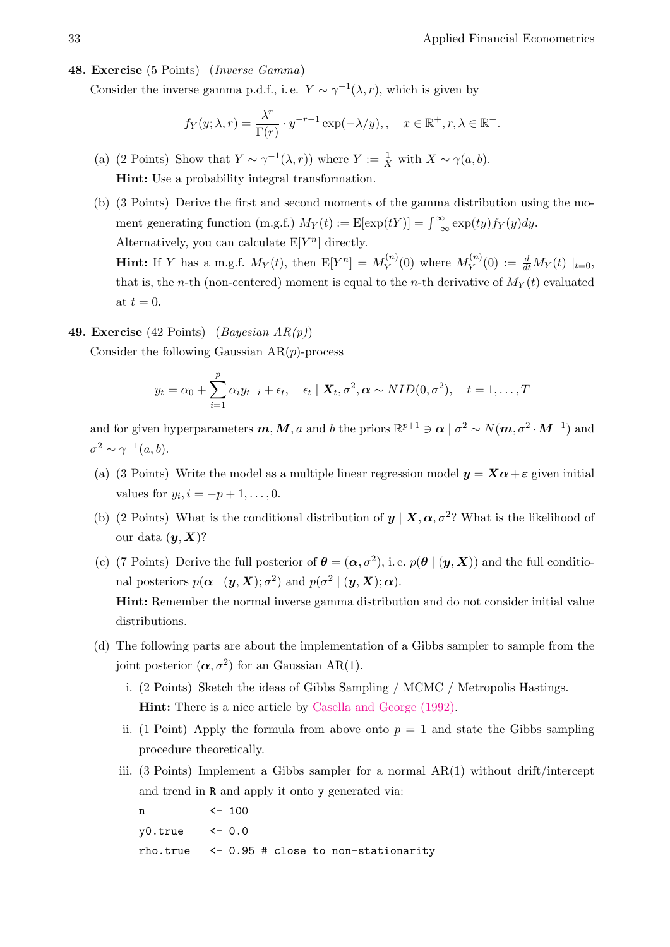# <span id="page-32-0"></span>48. Exercise (5 Points) (Inverse Gamma)

Consider the inverse gamma p.d.f., i.e.  $Y \sim \gamma^{-1}(\lambda, r)$ , which is given by

$$
f_Y(y; \lambda, r) = \frac{\lambda^r}{\Gamma(r)} \cdot y^{-r-1} \exp(-\lambda/y), \quad x \in \mathbb{R}^+, r, \lambda \in \mathbb{R}^+.
$$

- (a) (2 Points) Show that  $Y \sim \gamma^{-1}(\lambda, r)$ ) where  $Y := \frac{1}{X}$  with  $X \sim \gamma(a, b)$ . Hint: Use a probability integral transformation.
- (b) (3 Points) Derive the first and second moments of the gamma distribution using the moment generating function (m.g.f.)  $M_Y(t) := \mathbb{E}[\exp(tY)] = \int_{-\infty}^{\infty} \exp(ty) f_Y(y) dy$ . Alternatively, you can calculate  $E[Y^n]$  directly. **Hint:** If Y has a m.g.f.  $M_Y(t)$ , then  $E[Y^n] = M_Y^{(n)}$  $Y(Y^{(n)}(0)$  where  $M_Y^{(n)}$  $Y^{(n)}_Y(0) := \frac{d}{dt} M_Y(t) \mid_{t=0},$ that is, the *n*-th (non-centered) moment is equal to the *n*-th derivative of  $M_Y(t)$  evaluated

#### <span id="page-32-1"></span>49. Exercise (42 Points) (Bayesian  $AR(p)$ )

at  $t = 0$ .

Consider the following Gaussian  $AR(p)$ -process

$$
y_t = \alpha_0 + \sum_{i=1}^p \alpha_i y_{t-i} + \epsilon_t, \quad \epsilon_t \mid \mathbf{X}_t, \sigma^2, \boldsymbol{\alpha} \sim NID(0, \sigma^2), \quad t = 1, \ldots, T
$$

and for given hyperparameters  $m, M, a$  and b the priors  $\mathbb{R}^{p+1} \ni \alpha \mid \sigma^2 \sim N(m, \sigma^2 \cdot M^{-1})$  and  $\sigma^2 \sim \gamma^{-1}(a,b).$ 

- (a) (3 Points) Write the model as a multiple linear regression model  $y = X\alpha + \varepsilon$  given initial values for  $y_i, i = -p + 1, ..., 0$ .
- (b) (2 Points) What is the conditional distribution of  $y | X, \alpha, \sigma^2$ ? What is the likelihood of our data  $(y, X)$ ?
- (c) (7 Points) Derive the full posterior of  $\theta = (\alpha, \sigma^2)$ , i.e.  $p(\theta | (y, X))$  and the full conditional posteriors  $p(\alpha | (y, X); \sigma^2)$  and  $p(\sigma^2 | (y, X); \alpha)$ . Hint: Remember the normal inverse gamma distribution and do not consider initial value distributions.
- (d) The following parts are about the implementation of a Gibbs sampler to sample from the joint posterior  $(\boldsymbol{\alpha}, \sigma^2)$  for an Gaussian AR(1).
	- i. (2 Points) Sketch the ideas of Gibbs Sampling / MCMC / Metropolis Hastings. Hint: There is a nice article by [Casella and George \(1992\).](http://www.tandfonline.com/doi/abs/10.1080/00031305.1992.10475878)
	- ii. (1 Point) Apply the formula from above onto  $p = 1$  and state the Gibbs sampling procedure theoretically.
	- iii. (3 Points) Implement a Gibbs sampler for a normal  $AR(1)$  without drift/intercept and trend in R and apply it onto y generated via:

n <- 100 y0.true <- 0.0 rho.true <- 0.95 # close to non-stationarity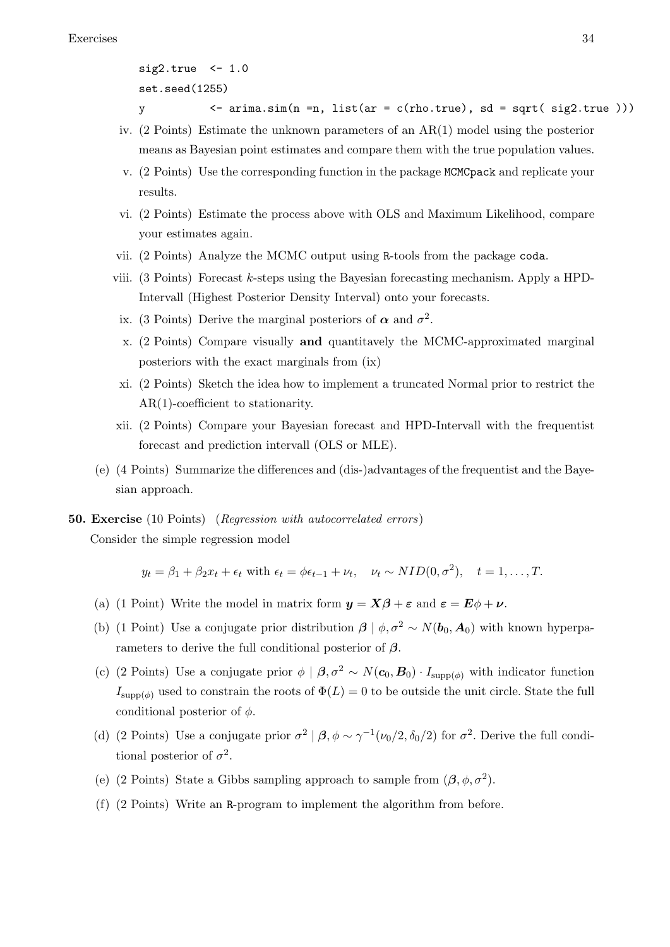```
sig2,true <- 1.0
set.seed(1255)
```
- y  $\left\langle -\arctan\left( n \right) =n, \text{ list}(\text{ar} = \text{c}(\text{rho,true}), \text{ sd} = \text{sqrt}(\text{ sig2,true})).\right\rangle$
- iv. (2 Points) Estimate the unknown parameters of an AR(1) model using the posterior means as Bayesian point estimates and compare them with the true population values.
- v. (2 Points) Use the corresponding function in the package MCMCpack and replicate your results.
- vi. (2 Points) Estimate the process above with OLS and Maximum Likelihood, compare your estimates again.
- vii. (2 Points) Analyze the MCMC output using R-tools from the package coda.
- viii. (3 Points) Forecast  $k$ -steps using the Bayesian forecasting mechanism. Apply a HPD-Intervall (Highest Posterior Density Interval) onto your forecasts.
- <span id="page-33-1"></span>ix. (3 Points) Derive the marginal posteriors of  $\alpha$  and  $\sigma^2$ .
- x. (2 Points) Compare visually and quantitavely the MCMC-approximated marginal posteriors with the exact marginals from [\(ix\)](#page-33-1)
- xi. (2 Points) Sketch the idea how to implement a truncated Normal prior to restrict the AR(1)-coefficient to stationarity.
- xii. (2 Points) Compare your Bayesian forecast and HPD-Intervall with the frequentist forecast and prediction intervall (OLS or MLE).
- (e) (4 Points) Summarize the differences and (dis-)advantages of the frequentist and the Bayesian approach.

# <span id="page-33-0"></span>**50. Exercise** (10 Points) (Regression with autocorrelated errors)

Consider the simple regression model

 $y_t = \beta_1 + \beta_2 x_t + \epsilon_t$  with  $\epsilon_t = \phi \epsilon_{t-1} + \nu_t$ ,  $\nu_t \sim NID(0, \sigma^2)$ ,  $t = 1, \ldots, T$ .

- (a) (1 Point) Write the model in matrix form  $y = X\beta + \varepsilon$  and  $\varepsilon = E\phi + \nu$ .
- (b) (1 Point) Use a conjugate prior distribution  $\beta | \phi, \sigma^2 \sim N(b_0, A_0)$  with known hyperparameters to derive the full conditional posterior of  $\beta$ .
- (c) (2 Points) Use a conjugate prior  $\phi \mid \boldsymbol{\beta}, \sigma^2 \sim N(c_0, B_0) \cdot I_{\text{supp}(\phi)}$  with indicator function  $I_{\text{supp}(\phi)}$  used to constrain the roots of  $\Phi(L) = 0$  to be outside the unit circle. State the full conditional posterior of  $\phi$ .
- (d) (2 Points) Use a conjugate prior  $\sigma^2 | \beta, \phi \sim \gamma^{-1}(\nu_0/2, \delta_0/2)$  for  $\sigma^2$ . Derive the full conditional posterior of  $\sigma^2$ .
- (e) (2 Points) State a Gibbs sampling approach to sample from  $(\beta, \phi, \sigma^2)$ .
- (f) (2 Points) Write an R-program to implement the algorithm from before.